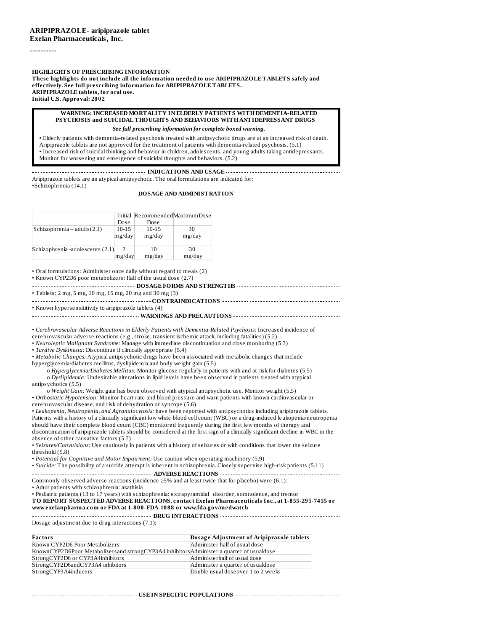#### **Exelan Pharmaceuticals, Inc.**

----------

#### **HIGHLIGHTS OF PRESCRIBING INFORMATION**

**These highlights do not include all the information needed to use ARIPIPRAZOLE TABLETS safely and effectively. See full prescribing information for ARIPIPRAZOLE TABLETS. ARIPIPRAZOLE tablets, for oral use.**

**Initial U.S. Approval: 2002**

## **WARNING: INCREASED MORTALITY IN ELDERLY PATIENTS WITHDEMENTIA-RELATED PSYCHOSIS and SUICIDAL THOUGHTS AND BEHAVIORS WITHANTIDEPRESSANT DRUGS**

#### *See full prescribing information for complete boxed warning.*

• Elderly patients with dementia-related psychosis treated with antipsychotic drugs are at an increased risk of death. Aripiprazole tablets are not approved for the treatment of patients with dementia-related psychosis. (5.1) • Increased risk of suicidal thinking and behavior in children, adolescents, and young adults taking antidepressants. Monitor for worsening and emergence of suicidal thoughts and behaviors. (5.2)

**INDICATIONS AND USAGE** Aripiprazole tablets are an atypical antipsychotic. The oral formulations are indicated for:

•Schizophrenia (14.1)

**DOSAGE AND ADMINISTRATION**

|                                  |           | Initial RecommendedMaximumDose |        |
|----------------------------------|-----------|--------------------------------|--------|
|                                  | Dose      | Dose                           |        |
| Schizophrenia - adults $(2.1)$   | $10 - 15$ | $10 - 15$                      | 30     |
|                                  | mg/day    | mg/day                         | mg/day |
|                                  |           |                                |        |
| Schizophrenia -adolescents (2.1) |           | 10                             | 30     |
|                                  | mg/day    | mg/day                         | mg/day |

• Oral formulations: Administer once daily without regard to meals (2)

• Known CYP2D6 poor metabolizers: Half of the usual dose (2.7)

| $\cdot$ Tablets: 2 mg, 5 mg, 10 mg, 15 mg, 20 mg and 30 mg (3)                                                  |
|-----------------------------------------------------------------------------------------------------------------|
|                                                                                                                 |
| • Known hypersensititivity to aripiprazole tablets (4)                                                          |
|                                                                                                                 |
| • Cerebrovascular Adverse Reactions in Elderly Patients with Dementia-Related Psychosis: Increased incidence of |
| cerebrovascular adverse reactions (e.g., stroke, transient ischemic attack, including fatalities) (5.2)         |
| • Neuroleptic Malignant Syndrome: Manage with immediate discontinuation and close monitoring (5.3)              |
| • Tardive Dyskinesia: Discontinue if clinically appropriate (5.4)                                               |
| • Metabolic Changes: Atypical antipsychotic drugs have been associated with metabolic changes that include      |
| hyperglycemia/diabetes mellitus, dyslipidemia, and body weight gain (5.5)                                       |
| o Hyperglycemia/Diabetes Mellitus: Monitor glucose regularly in patients with and at risk for diabetes (5.5)    |
| o Dyslipidemia: Undesirable alterations in lipid levels have been observed in patients treated with atypical    |
| antipsychotics (5.5)                                                                                            |
| o Weight Gain: Weight gain has been observed with atypical antipsychotic use. Monitor weight (5.5)              |
| • Orthostatic Hypotension: Monitor heart rate and blood pressure and warn patients with known cardiovascular or |
| cerebrovascular disease, and risk of dehydration or syncope (5.6)                                               |

• *Leukopenia, Neutropenia, and Agranulocytosis:* have been reported with antipsychotics including aripiprazole tablets. Patients with a history of a clinically significant low white blood cell count (WBC) or a drug-induced leukopenia/neutropenia should have their complete blood count (CBC) monitored frequently during the first few months of therapy and discontinuation of aripiprazole tablets should be considered at the first sign of a clinically significant decline in WBC in the absence of other causative factors (5.7)

• *Seizures/Convulsions:* Use cautiously in patients with a history of seizures or with conditions that lower the seizure threshold (5.8)

• *Potential for Cognitive and Motor Impairment:* Use caution when operating machinery (5.9)

• *Suicide:* The possibility of a suicide attempt is inherent in schizophrenia. Closely supervise high-risk patients (5.11)

**ADVERSE REACTIONS** Commonly observed adverse reactions (incidence  $\geq$ 5% and at least twice that for placebo) were (6.1):

• Adult patients with schizophrenia: akathisia

• Pediatric patients (13 to 17 years) with schizophrenia: extrapyramidal disorder, somnolence, and tremor **TO REPORT SUSPECTED ADVERSE REACTIONS, contact Exelan Pharmaceuticals Inc., at 1-855-295-7455 or www.exelanpharma.com or FDA at 1-800-FDA-1088 or www.fda.gov/medwatch**

**DRUGBER INTERACTIONS CONSUMERAGTIONS CONSUMIDED INTERACTIONS CONSUMIDED INTERACTIONS** Dosage adjustment due to drug interactions (7.1):

| <b>Factors</b>                                                                            | Dosage Adjustment of Aripiprazole tablets |
|-------------------------------------------------------------------------------------------|-------------------------------------------|
| Known CYP2D6 Poor Metabolizers                                                            | Administer half of usual dose             |
| KnownCYP2D6Poor Metabolizersand strongCYP3A4 inhibitors Administer a quarter of usualdose |                                           |
| StrongCYP2D6 or CYP3A4inhibitors                                                          | Administerhalf of usual dose              |
| StrongCYP2D6andCYP3A4 inhibitors                                                          | Administer a quarter of usualdose         |
| StrongCYP3A4inducers                                                                      | Double usual dose over 1 to 2 weeks       |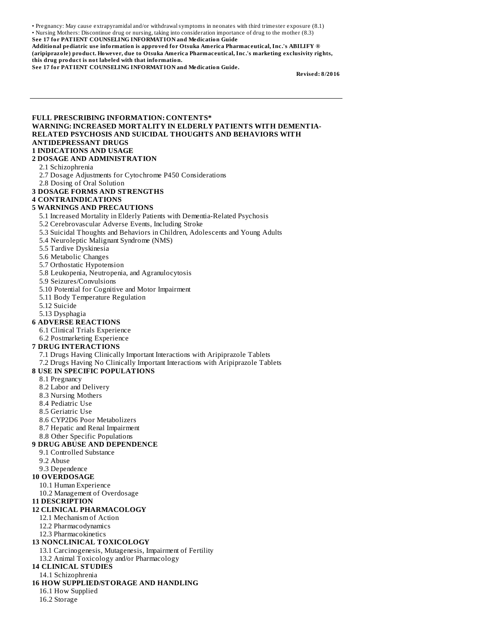• Pregnancy: May cause extrapyramidal and/or withdrawalsymptoms in neonates with third trimester exposure (8.1) • Nursing Mothers: Discontinue drug or nursing, taking into consideration importance of drug to the mother (8.3)

**See 17 for PATIENT COUNSELING INFORMATION and Medication Guide**

**Additional pediatric use information is approved for Otsuka America Pharmaceutical, Inc.'s ABILIFY ® (aripiprazole) product. However, due to Otsuka America Pharmaceutical, Inc.'s marketing exclusivity rights, this drug product is not labeled with that information.**

**Revised: 8/2016**

**See 17 for PATIENT COUNSELING INFORMATION and Medication Guide.**

## **FULL PRESCRIBING INFORMATION: CONTENTS\* WARNING:INCREASED MORTALITY IN ELDERLY PATIENTS WITH DEMENTIA-RELATED PSYCHOSIS AND SUICIDAL THOUGHTS AND BEHAVIORS WITH ANTIDEPRESSANT DRUGS 1 INDICATIONS AND USAGE 2 DOSAGE AND ADMINISTRATION** 2.1 Schizophrenia 2.7 Dosage Adjustments for Cytochrome P450 Considerations 2.8 Dosing of Oral Solution **3 DOSAGE FORMS AND STRENGTHS 4 CONTRAINDICATIONS 5 WARNINGS AND PRECAUTIONS** 5.1 Increased Mortality in Elderly Patients with Dementia-Related Psychosis 5.2 Cerebrovascular Adverse Events, Including Stroke 5.3 Suicidal Thoughts and Behaviors in Children, Adolescents and Young Adults 5.4 Neuroleptic Malignant Syndrome (NMS) 5.5 Tardive Dyskinesia 5.6 Metabolic Changes 5.7 Orthostatic Hypotension 5.8 Leukopenia, Neutropenia, and Agranulocytosis 5.9 Seizures/Convulsions 5.10 Potential for Cognitive and Motor Impairment 5.11 Body Temperature Regulation 5.12 Suicide 5.13 Dysphagia **6 ADVERSE REACTIONS** 6.1 Clinical Trials Experience 6.2 Postmarketing Experience **7 DRUG INTERACTIONS** 7.1 Drugs Having Clinically Important Interactions with Aripiprazole Tablets 7.2 Drugs Having No Clinically Important Interactions with Aripiprazole Tablets **8 USE IN SPECIFIC POPULATIONS** 8.1 Pregnancy 8.2 Labor and Delivery 8.3 Nursing Mothers 8.4 Pediatric Use 8.5 Geriatric Use 8.6 CYP2D6 Poor Metabolizers 8.7 Hepatic and Renal Impairment 8.8 Other Specific Populations **9 DRUG ABUSE AND DEPENDENCE** 9.1 Controlled Substance 9.2 Abuse 9.3 Dependence **10 OVERDOSAGE** 10.1 Human Experience 10.2 Management of Overdosage **11 DESCRIPTION**

#### **12 CLINICAL PHARMACOLOGY**

- 12.1 Mechanism of Action
- 12.2 Pharmacodynamics
- 12.3 Pharmacokinetics

#### **13 NONCLINICAL TOXICOLOGY**

13.1 Carcinogenesis, Mutagenesis, Impairment of Fertility

- 13.2 Animal Toxicology and/or Pharmacology
- **14 CLINICAL STUDIES**

#### 14.1 Schizophrenia

- **16 HOW SUPPLIED/STORAGE AND HANDLING**
	- 16.1 How Supplied
	- 16.2 Storage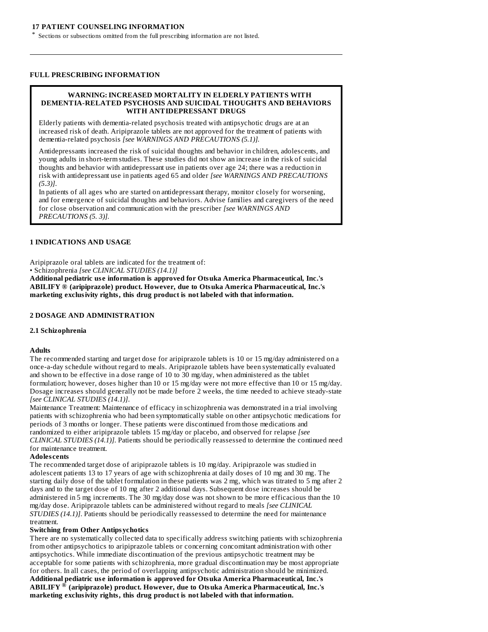## **17 PATIENT COUNSELING INFORMATION**

\* Sections or subsections omitted from the full prescribing information are not listed.

## **FULL PRESCRIBING INFORMATION**

#### **WARNING:INCREASED MORTALITY IN ELDERLY PATIENTS WITH DEMENTIA-RELATED PSYCHOSIS AND SUICIDAL THOUGHTS AND BEHAVIORS WITH ANTIDEPRESSANT DRUGS**

Elderly patients with dementia-related psychosis treated with antipsychotic drugs are at an increased risk of death. Aripiprazole tablets are not approved for the treatment of patients with dementia-related psychosis *[see WARNINGS AND PRECAUTIONS (5.1)].*

Antidepressants increased the risk of suicidal thoughts and behavior in children, adolescents, and young adults in short-term studies. These studies did not show an increase in the risk of suicidal thoughts and behavior with antidepressant use in patients over age 24; there was a reduction in risk with antidepressant use in patients aged 65 and older *[see WARNINGS AND PRECAUTIONS (5.3)]*.

In patients of all ages who are started on antidepressant therapy, monitor closely for worsening, and for emergence of suicidal thoughts and behaviors. Advise families and caregivers of the need for close observation and communication with the prescriber *[see WARNINGS AND PRECAUTIONS (5. 3)].*

#### **1 INDICATIONS AND USAGE**

Aripiprazole oral tablets are indicated for the treatment of:

• Schizophrenia *[see CLINICAL STUDIES (14.1)]*

**Additional pediatric us e information is approved for Otsuka America Pharmaceutical, Inc.'s ABILIFY ® (aripiprazole) product. However, due to Otsuka America Pharmaceutical, Inc.'s marketing exclusivity rights, this drug product is not labeled with that information.**

#### **2 DOSAGE AND ADMINISTRATION**

#### **2.1 Schizophrenia**

#### **Adults**

The recommended starting and target dose for aripiprazole tablets is 10 or 15 mg/day administered on a once-a-day schedule without regard to meals. Aripiprazole tablets have been systematically evaluated and shown to be effective in a dose range of 10 to 30 mg/day, when administered as the tablet formulation; however, doses higher than 10 or 15 mg/day were not more effective than 10 or 15 mg/day. Dosage increases should generally not be made before 2 weeks, the time needed to achieve steady-state *[see CLINICAL STUDIES (14.1)]*.

Maintenance Treatment: Maintenance of efficacy in schizophrenia was demonstrated in a trial involving patients with schizophrenia who had been symptomatically stable on other antipsychotic medications for periods of 3 months or longer. These patients were discontinued from those medications and randomized to either aripiprazole tablets 15 mg/day or placebo, and observed for relapse *[see CLINICAL STUDIES (14.1)]*. Patients should be periodically reassessed to determine the continued need for maintenance treatment.

#### **Adoles cents**

The recommended target dose of aripiprazole tablets is 10 mg/day. Aripiprazole was studied in adolescent patients 13 to 17 years of age with schizophrenia at daily doses of 10 mg and 30 mg. The starting daily dose of the tablet formulation in these patients was 2 mg, which was titrated to 5 mg after 2 days and to the target dose of 10 mg after 2 additional days. Subsequent dose increases should be administered in 5 mg increments. The 30 mg/day dose was not shown to be more efficacious than the 10 mg/day dose. Aripiprazole tablets can be administered without regard to meals *[see CLINICAL STUDIES (14.1)]*. Patients should be periodically reassessed to determine the need for maintenance treatment.

#### **Switching from Other Antipsychotics**

There are no systematically collected data to specifically address switching patients with schizophrenia from other antipsychotics to aripiprazole tablets or concerning concomitant administration with other antipsychotics. While immediate discontinuation of the previous antipsychotic treatment may be acceptable for some patients with schizophrenia, more gradual discontinuation may be most appropriate for others. In all cases, the period of overlapping antipsychotic administration should be minimized. **Additional pediatric us e information is approved for Otsuka America Pharmaceutical, Inc.'s ABILIFY (aripiprazole) product. However, due to Otsuka America Pharmaceutical, Inc.'s ®marketing exclusivity rights, this drug product is not labeled with that information.**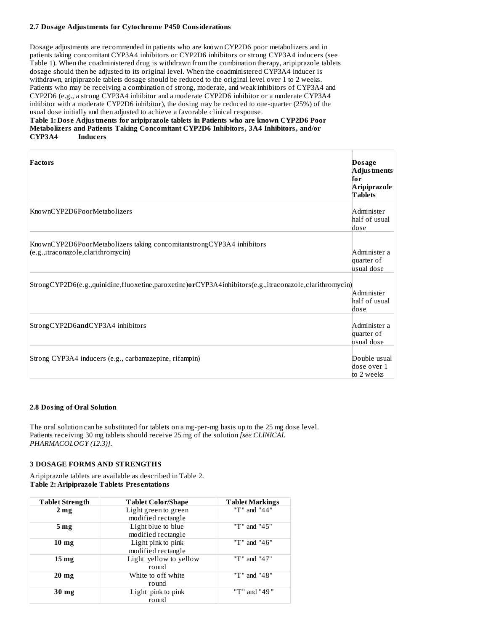## **2.7 Dosage Adjustments for Cytochrome P450 Considerations**

Dosage adjustments are recommended in patients who are known CYP2D6 poor metabolizers and in patients taking concomitant CYP3A4 inhibitors or CYP2D6 inhibitors or strong CYP3A4 inducers (see Table 1). When the coadministered drug is withdrawn from the combination therapy, aripiprazole tablets dosage should then be adjusted to its original level. When the coadministered CYP3A4 inducer is withdrawn, aripiprazole tablets dosage should be reduced to the original level over 1 to 2 weeks. Patients who may be receiving a combination of strong, moderate, and weak inhibitors of CYP3A4 and CYP2D6 (e.g., a strong CYP3A4 inhibitor and a moderate CYP2D6 inhibitor or a moderate CYP3A4 inhibitor with a moderate CYP2D6 inhibitor), the dosing may be reduced to one-quarter (25%) of the usual dose initially and then adjusted to achieve a favorable clinical response.

**Table 1: Dos e Adjustments for aripiprazole tablets in Patients who are known CYP2D6 Poor Metabolizers and Patients Taking Concomitant CYP2D6 Inhibitors, 3A4 Inhibitors, and/or CYP3A4 Inducers**

| Factors                                                                                                     | Dosage<br><b>Adjustments</b><br>for<br>Aripiprazole<br><b>Tablets</b> |
|-------------------------------------------------------------------------------------------------------------|-----------------------------------------------------------------------|
| KnownCYP2D6PoorMetabolizers                                                                                 | Administer<br>half of usual<br>dose                                   |
| KnownCYP2D6PoorMetabolizers taking concomitantstrongCYP3A4 inhibitors<br>(e.g.,itraconazole,clarithromycin) | Administer a<br>quarter of<br>usual dose                              |
| StrongCYP2D6(e.g.,quinidine,fluoxetine,paroxetine)orCYP3A4inhibitors(e.g.,itraconazole,clarithromycin)      | Administer<br>half of usual<br>dose                                   |
| StrongCYP2D6andCYP3A4 inhibitors                                                                            | Administer a<br>quarter of<br>usual dose                              |
| Strong CYP3A4 inducers (e.g., carbamazepine, rifampin)                                                      | Double usual<br>dose over 1<br>to 2 weeks                             |

## **2.8 Dosing of Oral Solution**

The oral solution can be substituted for tablets on a mg-per-mg basis up to the 25 mg dose level. Patients receiving 30 mg tablets should receive 25 mg of the solution *[see CLINICAL PHARMACOLOGY (12.3)]*.

## **3 DOSAGE FORMS AND STRENGTHS**

Aripiprazole tablets are available as described in Table 2. **Table 2: Aripiprazole Tablets Pres entations**

| <b>Tablet Strength</b> | <b>Tablet Color/Shape</b> | <b>Tablet Markings</b> |
|------------------------|---------------------------|------------------------|
| 2 <sub>mg</sub>        | Light green to green      | "T" and "44"           |
|                        | modified rectangle        |                        |
| 5 mg                   | Light blue to blue        | "T" and "45"           |
|                        | modified rectangle        |                        |
| $10 \text{ mg}$        | Light pink to pink        | "T" and "46"           |
|                        | modified rectangle        |                        |
| 15 <sub>mg</sub>       | Light yellow to yellow    | "T" and "47"           |
|                        | round                     |                        |
| $20 \text{ mg}$        | White to off white        | "T" and "48"           |
|                        | round                     |                        |
| 30 <sub>mg</sub>       | Light pink to pink        | "T" and "49"           |
|                        | round                     |                        |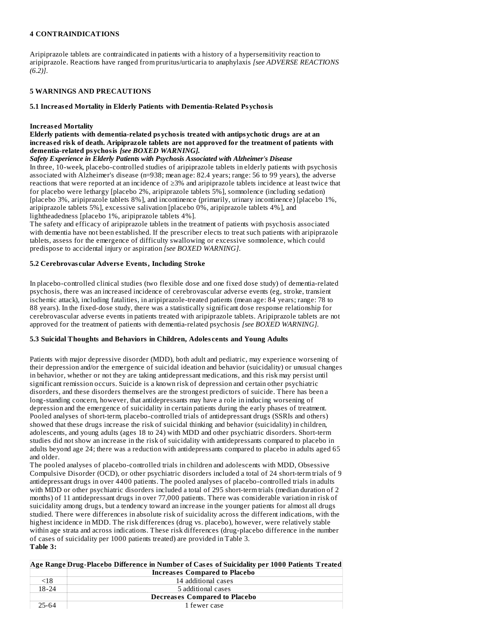## **4 CONTRAINDICATIONS**

Aripiprazole tablets are contraindicated in patients with a history of a hypersensitivity reaction to aripiprazole. Reactions have ranged from pruritus/urticaria to anaphylaxis *[see ADVERSE REACTIONS (6.2)]*.

## **5 WARNINGS AND PRECAUTIONS**

## **5.1 Increas ed Mortality in Elderly Patients with Dementia-Related Psychosis**

## **Increas ed Mortality**

**Elderly patients with dementia-related psychosis treated with antipsychotic drugs are at an increas ed risk of death. Aripiprazole tablets are not approved for the treatment of patients with dementia-related psychosis** *[see BOXED WARNING].*

*Safety Experience in Elderly Patients with Psychosis Associated with Alzheimer's Disease*

In three, 10-week, placebo-controlled studies of aripiprazole tablets in elderly patients with psychosis associated with Alzheimer's disease (n=938; mean age: 82.4 years; range: 56 to 99 years), the adverse reactions that were reported at an incidence of ≥3% and aripiprazole tablets incidence at least twice that for placebo were lethargy [placebo 2%, aripiprazole tablets 5%], somnolence (including sedation) [placebo 3%, aripiprazole tablets 8%], and incontinence (primarily, urinary incontinence) [placebo 1%, aripiprazole tablets 5%], excessive salivation [placebo 0%, aripiprazole tablets 4%], and lightheadedness [placebo 1%, aripiprazole tablets 4%].

The safety and efficacy of aripiprazole tablets in the treatment of patients with psychosis associated with dementia have not been established. If the prescriber elects to treat such patients with aripiprazole tablets, assess for the emergence of difficulty swallowing or excessive somnolence, which could predispose to accidental injury or aspiration *[see BOXED WARNING]*.

#### **5.2 Cerebrovas cular Advers e Events, Including Stroke**

In placebo-controlled clinical studies (two flexible dose and one fixed dose study) of dementia-related psychosis, there was an increased incidence of cerebrovascular adverse events (eg, stroke, transient ischemic attack), including fatalities, in aripiprazole-treated patients (mean age: 84 years; range: 78 to 88 years). In the fixed-dose study, there was a statistically significant dose response relationship for cerebrovascular adverse events in patients treated with aripiprazole tablets. Aripiprazole tablets are not approved for the treatment of patients with dementia-related psychosis *[see BOXED WARNING].*

## **5.3 Suicidal Thoughts and Behaviors in Children, Adoles cents and Young Adults**

Patients with major depressive disorder (MDD), both adult and pediatric, may experience worsening of their depression and/or the emergence of suicidal ideation and behavior (suicidality) or unusual changes in behavior, whether or not they are taking antidepressant medications, and this risk may persist until significant remission occurs. Suicide is a known risk of depression and certain other psychiatric disorders, and these disorders themselves are the strongest predictors of suicide. There has been a long-standing concern, however, that antidepressants may have a role in inducing worsening of depression and the emergence of suicidality in certain patients during the early phases of treatment. Pooled analyses of short-term, placebo-controlled trials of antidepressant drugs (SSRIs and others) showed that these drugs increase the risk of suicidal thinking and behavior (suicidality) in children, adolescents, and young adults (ages 18 to 24) with MDD and other psychiatric disorders. Short-term studies did not show an increase in the risk of suicidality with antidepressants compared to placebo in adults beyond age 24; there was a reduction with antidepressants compared to placebo in adults aged 65 and older.

The pooled analyses of placebo-controlled trials in children and adolescents with MDD, Obsessive Compulsive Disorder (OCD), or other psychiatric disorders included a total of 24 short-term trials of 9 antidepressant drugs in over 4400 patients. The pooled analyses of placebo-controlled trials in adults with MDD or other psychiatric disorders included a total of 295 short-term trials (median duration of 2 months) of 11 antidepressant drugs in over 77,000 patients. There was considerable variation in risk of suicidality among drugs, but a tendency toward an increase in the younger patients for almost all drugs studied. There were differences in absolute risk of suicidality across the different indications, with the highest incidence in MDD. The risk differences (drug vs. placebo), however, were relatively stable within age strata and across indications. These risk differences (drug-placebo difference in the number of cases of suicidality per 1000 patients treated) are provided in Table 3. **Table 3:**

|         | Age Range Drug-Placebo Difference in Number of Cases of Suicidality per 1000 Patients Treated |
|---------|-----------------------------------------------------------------------------------------------|
|         | <b>Increases Compared to Placebo</b>                                                          |
| ${<}18$ | 14 additional cases                                                                           |
| $18-24$ | 5 additional cases                                                                            |
|         | <b>Decreases Compared to Placebo</b>                                                          |
| 25-64   | 1 fewer case                                                                                  |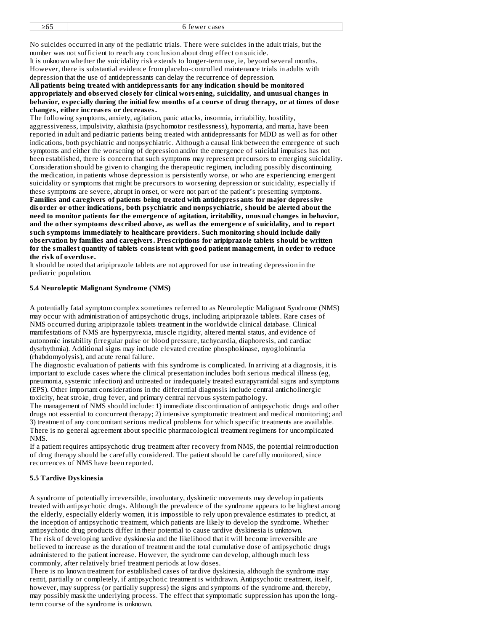#### $\geq 65$  6 fewer cases

No suicides occurred in any of the pediatric trials. There were suicides in the adult trials, but the number was not sufficient to reach any conclusion about drug effect on suicide.

It is unknown whether the suicidality risk extends to longer-term use, ie, beyond several months. However, there is substantial evidence from placebo-controlled maintenance trials in adults with depression that the use of antidepressants can delay the recurrence of depression.

#### **All patients being treated with antidepressants for any indication should be monitored appropriately and obs erved clos ely for clinical wors ening, suicidality, and unusual changes in** behavior, especially during the initial few months of a course of drug therapy, or at times of dose **changes, either increas es or decreas es.**

The following symptoms, anxiety, agitation, panic attacks, insomnia, irritability, hostility, aggressiveness, impulsivity, akathisia (psychomotor restlessness), hypomania, and mania, have been reported in adult and pediatric patients being treated with antidepressants for MDD as well as for other indications, both psychiatric and nonpsychiatric. Although a causal link between the emergence of such symptoms and either the worsening of depression and/or the emergence of suicidal impulses has not been established, there is concern that such symptoms may represent precursors to emerging suicidality. Consideration should be given to changing the therapeutic regimen, including possibly discontinuing the medication, in patients whose depression is persistently worse, or who are experiencing emergent suicidality or symptoms that might be precursors to worsening depression or suicidality, especially if these symptoms are severe, abrupt in onset, or were not part of the patient's presenting symptoms. **Families and caregivers of patients being treated with antidepressants for major depressive disorder or other indications, both psychiatric and nonpsychiatric, should be alerted about the need to monitor patients for the emergence of agitation, irritability, unusual changes in behavior, and the other symptoms des cribed above, as well as the emergence of suicidality, and to report such symptoms immediately to healthcare providers. Such monitoring should include daily obs ervation by families and caregivers. Pres criptions for aripiprazole tablets should be written for the smallest quantity of tablets consistent with good patient management, in order to reduce the risk of overdos e.**

It should be noted that aripiprazole tablets are not approved for use in treating depression in the pediatric population.

## **5.4 Neuroleptic Malignant Syndrome (NMS)**

A potentially fatal symptom complex sometimes referred to as Neuroleptic Malignant Syndrome (NMS) may occur with administration of antipsychotic drugs, including aripiprazole tablets. Rare cases of NMS occurred during aripiprazole tablets treatment in the worldwide clinical database. Clinical manifestations of NMS are hyperpyrexia, muscle rigidity, altered mental status, and evidence of autonomic instability (irregular pulse or blood pressure, tachycardia, diaphoresis, and cardiac dysrhythmia). Additional signs may include elevated creatine phosphokinase, myoglobinuria (rhabdomyolysis), and acute renal failure.

The diagnostic evaluation of patients with this syndrome is complicated. In arriving at a diagnosis, it is important to exclude cases where the clinical presentation includes both serious medical illness (eg, pneumonia, systemic infection) and untreated or inadequately treated extrapyramidal signs and symptoms (EPS). Other important considerations in the differential diagnosis include central anticholinergic toxicity, heat stroke, drug fever, and primary central nervous system pathology.

The management of NMS should include: 1) immediate discontinuation of antipsychotic drugs and other drugs not essential to concurrent therapy; 2) intensive symptomatic treatment and medical monitoring; and 3) treatment of any concomitant serious medical problems for which specific treatments are available. There is no general agreement about specific pharmacological treatment regimens for uncomplicated NMS.

If a patient requires antipsychotic drug treatment after recovery from NMS, the potential reintroduction of drug therapy should be carefully considered. The patient should be carefully monitored, since recurrences of NMS have been reported.

## **5.5 Tardive Dyskinesia**

A syndrome of potentially irreversible, involuntary, dyskinetic movements may develop in patients treated with antipsychotic drugs. Although the prevalence of the syndrome appears to be highest among the elderly, especially elderly women, it is impossible to rely upon prevalence estimates to predict, at the inception of antipsychotic treatment, which patients are likely to develop the syndrome. Whether antipsychotic drug products differ in their potential to cause tardive dyskinesia is unknown. The risk of developing tardive dyskinesia and the likelihood that it will become irreversible are believed to increase as the duration of treatment and the total cumulative dose of antipsychotic drugs administered to the patient increase. However, the syndrome can develop, although much less commonly, after relatively brief treatment periods at low doses.

There is no known treatment for established cases of tardive dyskinesia, although the syndrome may remit, partially or completely, if antipsychotic treatment is withdrawn. Antipsychotic treatment, itself, however, may suppress (or partially suppress) the signs and symptoms of the syndrome and, thereby, may possibly mask the underlying process. The effect that symptomatic suppression has upon the longterm course of the syndrome is unknown.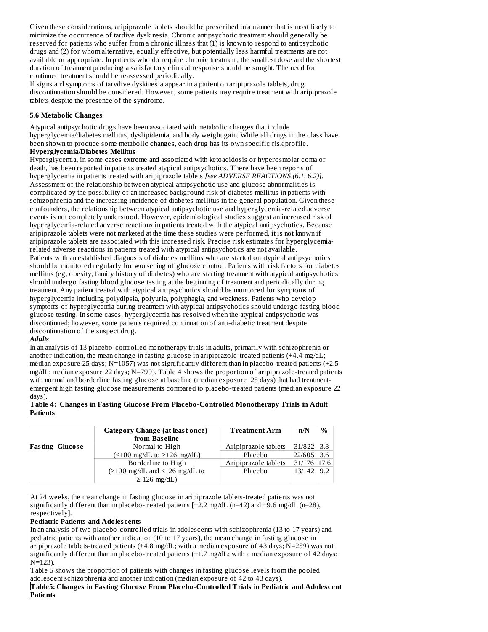Given these considerations, aripiprazole tablets should be prescribed in a manner that is most likely to minimize the occurrence of tardive dyskinesia. Chronic antipsychotic treatment should generally be reserved for patients who suffer from a chronic illness that (1) is known to respond to antipsychotic drugs and (2) for whom alternative, equally effective, but potentially less harmful treatments are not available or appropriate. In patients who do require chronic treatment, the smallest dose and the shortest duration of treatment producing a satisfactory clinical response should be sought. The need for continued treatment should be reassessed periodically.

If signs and symptoms of tarvdive dyskinesia appear in a patient on aripiprazole tablets, drug discontinuation should be considered. However, some patients may require treatment with aripiprazole tablets despite the presence of the syndrome.

## **5.6 Metabolic Changes**

Atypical antipsychotic drugs have been associated with metabolic changes that include hyperglycemia/diabetes mellitus, dyslipidemia, and body weight gain. While all drugs in the class have been shown to produce some metabolic changes, each drug has its own specific risk profile. **Hyperglycemia/Diabetes Mellitus**

Hyperglycemia, in some cases extreme and associated with ketoacidosis or hyperosmolar coma or death, has been reported in patients treated atypical antipsychotics. There have been reports of hyperglycemia in patients treated with aripiprazole tablets *[see ADVERSE REACTIONS (6.1, 6.2)]*. Assessment of the relationship between atypical antipsychotic use and glucose abnormalities is complicated by the possibility of an increased background risk of diabetes mellitus in patients with schizophrenia and the increasing incidence of diabetes mellitus in the general population. Given these confounders, the relationship between atypical antipsychotic use and hyperglycemia-related adverse events is not completely understood. However, epidemiological studies suggest an increased risk of hyperglycemia-related adverse reactions in patients treated with the atypical antipsychotics. Because aripiprazole tablets were not marketed at the time these studies were performed, it is not known if aripiprazole tablets are associated with this increased risk. Precise risk estimates for hyperglycemiarelated adverse reactions in patients treated with atypical antipsychotics are not available. Patients with an established diagnosis of diabetes mellitus who are started on atypical antipsychotics should be monitored regularly for worsening of glucose control. Patients with risk factors for diabetes mellitus (eg, obesity, family history of diabetes) who are starting treatment with atypical antipsychotics should undergo fasting blood glucose testing at the beginning of treatment and periodically during treatment. Any patient treated with atypical antipsychotics should be monitored for symptoms of hyperglycemia including polydipsia, polyuria, polyphagia, and weakness. Patients who develop symptoms of hyperglycemia during treatment with atypical antipsychotics should undergo fasting blood glucose testing. In some cases, hyperglycemia has resolved when the atypical antipsychotic was discontinued; however, some patients required continuation of anti-diabetic treatment despite discontinuation of the suspect drug.

## *Adults*

In an analysis of 13 placebo-controlled monotherapy trials in adults, primarily with schizophrenia or another indication, the mean change in fasting glucose in aripiprazole-treated patients (+4.4 mg/dL; median exposure 25 days; N=1057) was not significantly different than in placebo-treated patients (+2.5 mg/dL; median exposure 22 days; N=799). Table 4 shows the proportion of aripiprazole-treated patients with normal and borderline fasting glucose at baseline (median exposure 25 days) that had treatmentemergent high fasting glucose measurements compared to placebo-treated patients (median exposure 22 days).

## **Table 4: Changes in Fasting Glucos e From Placebo-Controlled Monotherapy Trials in Adult Patients**

|                        | Category Change (at least once)<br>from Baseline                          | <b>Treatment Arm</b> | n/N          | $\%$ |
|------------------------|---------------------------------------------------------------------------|----------------------|--------------|------|
| <b>Fasting Glucose</b> | Normal to High                                                            | Aripiprazole tablets | $31/822$ 3.8 |      |
|                        | $($ < 100 mg/dL to $\geq$ 126 mg/dL)                                      | Placebo              | $22/605$ 3.6 |      |
|                        | Borderline to High                                                        | Aripiprazole tablets | 31/176 17.6  |      |
|                        | $(\geq 100 \text{ mg/dL} \text{ and } \leq 126 \text{ mg/dL} \text{ to }$ | Placebo              | $13/142$ 9.2 |      |
|                        | $\geq$ 126 mg/dL)                                                         |                      |              |      |

At 24 weeks, the mean change in fasting glucose in aripiprazole tablets-treated patients was not significantly different than in placebo-treated patients  $[+2.2 \text{ mg/dL (n=42) and } +9.6 \text{ mg/dL (n=28)},$ respectively].

#### **Pediatric Patients and Adoles cents**

In an analysis of two placebo-controlled trials in adolescents with schizophrenia (13 to 17 years) and pediatric patients with another indication (10 to 17 years), the mean change in fasting glucose in aripiprazole tablets-treated patients (+4.8 mg/dL; with a median exposure of 43 days; N=259) was not significantly different than in placebo-treated patients (+1.7 mg/dL; with a median exposure of 42 days; N=123).

Table 5 shows the proportion of patients with changes in fasting glucose levels from the pooled adolescent schizophrenia and another indication (median exposure of 42 to 43 days).

**Table5: Changes in Fasting Glucos e From Placebo-Controlled Trials in Pediatric and Adoles cent Patients**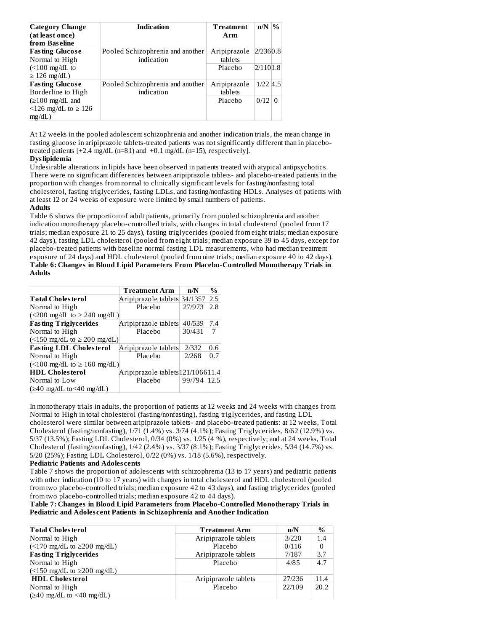| <b>Category Change</b>                  | <b>Indication</b>                | <b>Treatment</b> | n/N        | $\frac{0}{0}$ |
|-----------------------------------------|----------------------------------|------------------|------------|---------------|
| (at least once)                         |                                  | Arm              |            |               |
| from Baseline                           |                                  |                  |            |               |
| <b>Fasting Glucose</b>                  | Pooled Schizophrenia and another | Aripiprazole     | 2/2360.8   |               |
| Normal to High                          | indication                       | tablets          |            |               |
| $\left($ <100 mg/dL to                  |                                  | Placebo          | 2/1101.8   |               |
| $\geq$ 126 mg/dL)                       |                                  |                  |            |               |
| <b>Fasting Glucose</b>                  | Pooled Schizophrenia and another | Aripiprazole     | $1/22$ 4.5 |               |
| Borderline to High                      | indication                       | tablets          |            |               |
| $( \geq 100 \text{ mg/dL} \text{ and }$ |                                  | Placebo          | 0/12       | $\Omega$      |
| $\leq$ 126 mg/dL to $\geq$ 126          |                                  |                  |            |               |
| mg/dL)                                  |                                  |                  |            |               |

At 12 weeks in the pooled adolescent schizophrenia and another indication trials, the mean change in fasting glucose in aripiprazole tablets-treated patients was not significantly different than in placebotreated patients  $[-2.4 \text{ mg/dL (n=81) and } +0.1 \text{ mg/dL (n=15)},$  respectively].

## **Dyslipidemia**

Undesirable alterations in lipids have been observed in patients treated with atypical antipsychotics. There were no significant differences between aripiprazole tablets- and placebo-treated patients in the proportion with changes from normal to clinically significant levels for fasting/nonfasting total cholesterol, fasting triglycerides, fasting LDLs, and fasting/nonfasting HDLs. Analyses of patients with at least 12 or 24 weeks of exposure were limited by small numbers of patients. **Adults**

#### Table 6 shows the proportion of adult patients, primarily from pooled schizophrenia and another indication monotherapy placebo-controlled trials, with changes in total cholesterol (pooled from 17 trials; median exposure 21 to 25 days), fasting triglycerides (pooled from eight trials; median exposure 42 days), fasting LDL cholesterol (pooled from eight trials; median exposure 39 to 45 days, except for placebo-treated patients with baseline normal fasting LDL measurements, who had median treatment exposure of 24 days) and HDL cholesterol (pooled from nine trials; median exposure 40 to 42 days). **Table 6: Changes in Blood Lipid Parameters From Placebo-Controlled Monotherapy Trials in Adults**

|                                                   | <b>Treatment Arm</b>               | n/N    | $\frac{0}{0}$ |
|---------------------------------------------------|------------------------------------|--------|---------------|
| Total Cholesterol                                 | Aripiprazole tablets 34/1357       |        | 2.5           |
| Normal to High                                    | Placebo                            | 27/973 | 2.8           |
| (<200 mg/dL to $\geq$ 240 mg/dL)                  |                                    |        |               |
| <b>Fasting Triglycerides</b>                      | Aripiprazole tablets               | 40/539 | 7.4           |
| Normal to High                                    | Placebo                            | 30/431 | 7             |
| $\leq$ 150 mg/dL to $\geq$ 200 mg/dL)             |                                    |        |               |
| <b>Fasting LDL Cholesterol</b>                    | Aripiprazole tablets               | 2/332  | 0.6           |
| Normal to High                                    | Placebo                            | 2/268  | 0.7           |
| $\leq 100$ mg/dL to $\geq 160$ mg/dL)             |                                    |        |               |
| <b>HDL Cholesterol</b>                            | Aripiprazole tablets 121/1066 11.4 |        |               |
| Normal to Low                                     | Placebo                            | 99/794 | 12.5          |
| $( \geq 40 \text{ mg/dL to} < 40 \text{ mg/dL} )$ |                                    |        |               |

In monotherapy trials in adults, the proportion of patients at 12 weeks and 24 weeks with changes from Normal to High in total cholesterol (fasting/nonfasting), fasting triglycerides, and fasting LDL cholesterol were similar between aripiprazole tablets- and placebo-treated patients: at 12 weeks, Total Cholesterol (fasting/nonfasting), 1/71 (1.4%) vs. 3/74 (4.1%); Fasting Triglycerides, 8/62 (12.9%) vs. 5/37 (13.5%); Fasting LDL Cholesterol, 0/34 (0%) vs. 1/25 (4 %), respectively; and at 24 weeks, Total Cholesterol (fasting/nonfasting), 1/42 (2.4%) vs. 3/37 (8.1%); Fasting Triglycerides, 5/34 (14.7%) vs. 5/20 (25%); Fasting LDL Cholesterol, 0/22 (0%) vs. 1/18 (5.6%), respectively.

## **Pediatric Patients and Adoles cents**

Table 7 shows the proportion of adolescents with schizophrenia (13 to 17 years) and pediatric patients with other indication (10 to 17 years) with changes in total cholesterol and HDL cholesterol (pooled from two placebo-controlled trials; median exposure 42 to 43 days), and fasting triglycerides (pooled from two placebo-controlled trials; median exposure 42 to 44 days).

## **Table 7: Changes in Blood Lipid Parameters from Placebo-Controlled Monotherapy Trials in Pediatric and Adoles cent Patients in Schizophrenia and Another Indication**

| <b>Total Cholesterol</b>                             | <b>Treatment Arm</b> | n/N    | $\%$     |
|------------------------------------------------------|----------------------|--------|----------|
| Normal to High                                       | Aripiprazole tablets | 3/220  | 1.4      |
| $\leq$ 170 mg/dL to $\geq$ 200 mg/dL)                | Placebo              | 0/116  | $\theta$ |
| <b>Fasting Triglycerides</b>                         | Aripiprazole tablets | 7/187  | 3.7      |
| Normal to High                                       | Placebo              | 4/85   | 4.7      |
| $\leq$ 150 mg/dL to $\geq$ 200 mg/dL)                |                      |        |          |
| <b>HDL</b> Cholesterol                               | Aripiprazole tablets | 27/236 | 11.4     |
| Normal to High                                       | Placebo              | 22/109 | 20.2     |
| $( \geq 40 \text{ mg/dL to} \leq 40 \text{ mg/dL} )$ |                      |        |          |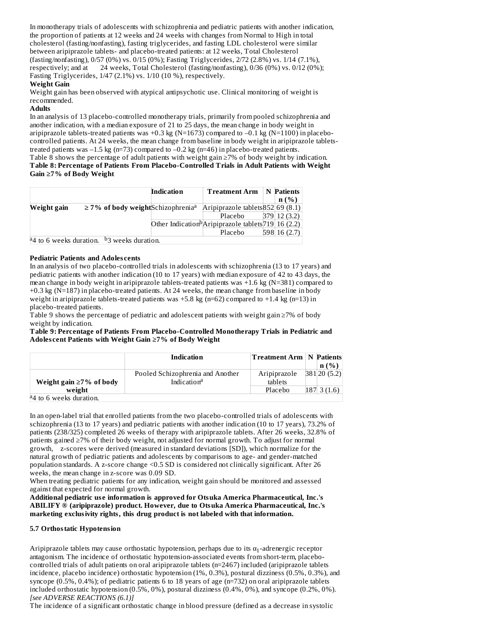In monotherapy trials of adolescents with schizophrenia and pediatric patients with another indication, the proportion of patients at 12 weeks and 24 weeks with changes from Normal to High in total cholesterol (fasting/nonfasting), fasting triglycerides, and fasting LDL cholesterol were similar between aripiprazole tablets- and placebo-treated patients: at 12 weeks, Total Cholesterol (fasting/nonfasting), 0/57 (0%) vs. 0/15 (0%); Fasting Triglycerides, 2/72 (2.8%) vs. 1/14 (7.1%), respectively; and at 24 weeks, Total Cholesterol (fasting/nonfasting), 0/36 (0%) vs. 0/12 (0%); Fasting Triglycerides, 1/47 (2.1%) vs. 1/10 (10 %), respectively.

## **Weight Gain**

Weight gain has been observed with atypical antipsychotic use. Clinical monitoring of weight is recommended.

## **Adults**

In an analysis of 13 placebo-controlled monotherapy trials, primarily from pooled schizophrenia and another indication, with a median exposure of 21 to 25 days, the mean change in body weight in aripiprazole tablets-treated patients was  $+0.3$  kg (N=1673) compared to  $-0.1$  kg (N=1100) in placebocontrolled patients. At 24 weeks, the mean change from baseline in body weight in aripiprazole tabletstreated patients was  $-1.5$  kg (n=73) compared to  $-0.2$  kg (n=46) in placebo-treated patients. Table 8 shows the percentage of adult patients with weight gain ≥7% of body weight by indication.

**Table 8: Percentage of Patients From Placebo-Controlled Trials in Adult Patients with Weight Gain ≥7% of Body Weight**

|                              |                                                     | Indication | <b>Treatment Arm</b>                                                         |     | <b>N</b> Patients |
|------------------------------|-----------------------------------------------------|------------|------------------------------------------------------------------------------|-----|-------------------|
|                              |                                                     |            |                                                                              | n ( | (%)               |
| Weight gain                  | $\geq$ 7% of body weight Schizophrenia <sup>a</sup> |            | Aripiprazole tablets 852 69 (8.1)                                            |     |                   |
|                              |                                                     |            | Placebo                                                                      |     | 379 12 (3.2)      |
|                              |                                                     |            | Other Indication <sup>b</sup> Aripiprazole tablets <sup>[719]</sup> 16 (2.2) |     |                   |
|                              |                                                     |            | Placebo                                                                      |     | 598 16 (2.7)      |
| $^{a}4$ to 6 weeks duration. | <sup>b</sup> 3 weeks duration.                      |            |                                                                              |     |                   |

## **Pediatric Patients and Adoles cents**

In an analysis of two placebo-controlled trials in adolescents with schizophrenia (13 to 17 years) and pediatric patients with another indication (10 to 17 years) with median exposure of 42 to 43 days, the mean change in body weight in aripiprazole tablets-treated patients was +1.6 kg (N=381) compared to +0.3 kg (N=187) in placebo-treated patients. At 24 weeks, the mean change from baseline in body weight in aripiprazole tablets-treated patients was  $+5.8$  kg (n=62) compared to  $+1.4$  kg (n=13) in placebo-treated patients.

Table 9 shows the percentage of pediatric and adolescent patients with weight gain ≥7% of body weight by indication.

#### **Table 9: Percentage of Patients From Placebo-Controlled Monotherapy Trials in Pediatric and Adoles cent Patients with Weight Gain ≥7% of Body Weight**

|                               | <b>Indication</b>                | Treatment Arm   N  Patients |            |
|-------------------------------|----------------------------------|-----------------------------|------------|
|                               |                                  |                             | n(%)       |
|                               | Pooled Schizophrenia and Another | Aripiprazole                | 38120(5.2) |
| Weight gain $\geq$ 7% of body | Indication <sup>a</sup>          | tablets                     |            |
| weight                        |                                  | Placebo                     | 1873(1.6)  |
| $^{a}$ 4 to 6 weeks duration. |                                  |                             |            |

In an open-label trial that enrolled patients from the two placebo-controlled trials of adolescents with schizophrenia (13 to 17 years) and pediatric patients with another indication (10 to 17 years), 73.2% of patients (238/325) completed 26 weeks of therapy with aripiprazole tablets. After 26 weeks, 32.8% of patients gained ≥7% of their body weight, not adjusted for normal growth. To adjust for normal growth, z-scores were derived (measured in standard deviations [SD]), which normalize for the natural growth of pediatric patients and adolescents by comparisons to age- and gender-matched population standards. A z-score change <0.5 SD is considered not clinically significant. After 26 weeks, the mean change in z-score was 0.09 SD.

When treating pediatric patients for any indication, weight gain should be monitored and assessed against that expected for normal growth.

**Additional pediatric us e information is approved for Otsuka America Pharmaceutical, Inc.'s ABILIFY ® (aripiprazole) product. However, due to Otsuka America Pharmaceutical, Inc.'s marketing exclusivity rights, this drug product is not labeled with that information.**

#### **5.7 Orthostatic Hypotension**

Aripiprazole tablets may cause orthostatic hypotension, perhaps due to its  $\alpha_1$ -adrenergic receptor antagonism. The incidence of orthostatic hypotension-associated events from short-term, placebocontrolled trials of adult patients on oral aripiprazole tablets (n=2467) included (aripiprazole tablets incidence, placebo incidence) orthostatic hypotension (1%, 0.3%), postural dizziness (0.5%, 0.3%), and syncope (0.5%, 0.4%); of pediatric patients 6 to 18 years of age (n=732) on oral aripiprazole tablets included orthostatic hypotension (0.5%, 0%), postural dizziness (0.4%, 0%), and syncope (0.2%, 0%). *[see ADVERSE REACTIONS (6.1)]*

The incidence of a significant orthostatic change in blood pressure (defined as a decrease in systolic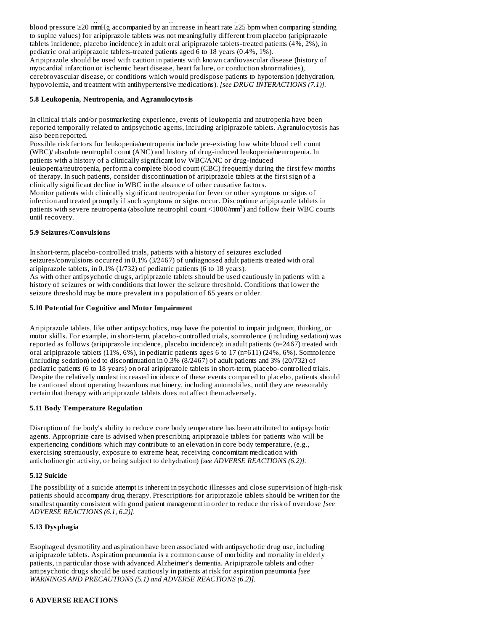The incidence of a significant orthostatic change in blood pressure (defined as a decrease in systolic blood pressure ≥20 mmHg accompanied by an increase in heart rate ≥25 bpm when comparing standing to supine values) for aripiprazole tablets was not meaningfully different from placebo (aripiprazole tablets incidence, placebo incidence): in adult oral aripiprazole tablets-treated patients (4%, 2%), in pediatric oral aripiprazole tablets-treated patients aged 6 to 18 years (0.4%, 1%). Aripiprazole should be used with caution in patients with known cardiovascular disease (history of myocardial infarction or ischemic heart disease, heart failure, or conduction abnormalities), cerebrovascular disease, or conditions which would predispose patients to hypotension (dehydration, hypovolemia, and treatment with antihypertensive medications). *[see DRUG INTERACTIONS (7.1)].*

## **5.8 Leukopenia, Neutropenia, and Agranulocytosis**

In clinical trials and/or postmarketing experience, events of leukopenia and neutropenia have been reported temporally related to antipsychotic agents, including aripiprazole tablets. Agranulocytosis has also been reported.

Possible risk factors for leukopenia/neutropenia include pre-existing low white blood cell count (WBC)/ absolute neutrophil count (ANC) and history of drug-induced leukopenia/neutropenia. In patients with a history of a clinically significant low WBC/ANC or drug-induced leukopenia/neutropenia, perform a complete blood count (CBC) frequently during the first few months of therapy. In such patients, consider discontinuation of aripiprazole tablets at the first sign of a clinically significant decline in WBC in the absence of other causative factors.

Monitor patients with clinically significant neutropenia for fever or other symptoms or signs of infection and treated promptly if such symptoms or signs occur. Discontinue aripiprazole tablets in patients with severe neutropenia (absolute neutrophil count <1000/mm<sup>3</sup>) and follow their WBC counts until recovery.

## **5.9 Seizures/Convulsions**

In short-term, placebo-controlled trials, patients with a history of seizures excluded seizures/convulsions occurred in 0.1% (3/2467) of undiagnosed adult patients treated with oral aripiprazole tablets, in 0.1% (1/732) of pediatric patients (6 to 18 years).

As with other antipsychotic drugs, aripiprazole tablets should be used cautiously in patients with a history of seizures or with conditions that lower the seizure threshold. Conditions that lower the seizure threshold may be more prevalent in a population of 65 years or older.

### **5.10 Potential for Cognitive and Motor Impairment**

Aripiprazole tablets, like other antipsychotics, may have the potential to impair judgment, thinking, or motor skills. For example, in short-term, placebo-controlled trials, somnolence (including sedation) was reported as follows (aripiprazole incidence, placebo incidence): in adult patients (n=2467) treated with oral aripiprazole tablets (11%, 6%), in pediatric patients ages 6 to 17 (n=611) (24%, 6%). Somnolence (including sedation) led to discontinuation in 0.3% (8/2467) of adult patients and 3% (20/732) of pediatric patients (6 to 18 years) on oral aripiprazole tablets in short-term, placebo-controlled trials. Despite the relatively modest increased incidence of these events compared to placebo, patients should be cautioned about operating hazardous machinery, including automobiles, until they are reasonably certain that therapy with aripiprazole tablets does not affect them adversely.

## **5.11 Body Temperature Regulation**

Disruption of the body's ability to reduce core body temperature has been attributed to antipsychotic agents. Appropriate care is advised when prescribing aripiprazole tablets for patients who will be experiencing conditions which may contribute to an elevation in core body temperature, (e.g., exercising strenuously, exposure to extreme heat, receiving concomitant medication with anticholinergic activity, or being subject to dehydration) *[see ADVERSE REACTIONS (6.2)].*

#### **5.12 Suicide**

The possibility of a suicide attempt is inherent in psychotic illnesses and close supervision of high-risk patients should accompany drug therapy. Prescriptions for aripiprazole tablets should be written for the smallest quantity consistent with good patient management in order to reduce the risk of overdose *[see ADVERSE REACTIONS (6.1, 6.2)]*.

## **5.13 Dysphagia**

Esophageal dysmotility and aspiration have been associated with antipsychotic drug use, including aripiprazole tablets. Aspiration pneumonia is a common cause of morbidity and mortality in elderly patients, in particular those with advanced Alzheimer's dementia. Aripiprazole tablets and other antipsychotic drugs should be used cautiously in patients at risk for aspiration pneumonia *[see WARNINGS AND PRECAUTIONS (5.1) and ADVERSE REACTIONS (6.2)].*

#### **6 ADVERSE REACTIONS**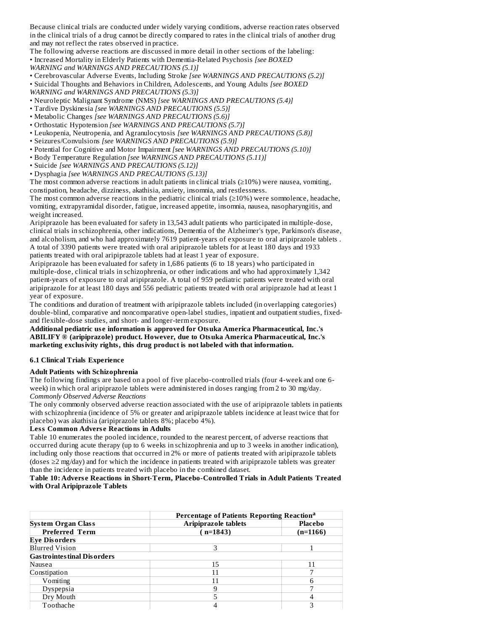Because clinical trials are conducted under widely varying conditions, adverse reaction rates observed in the clinical trials of a drug cannot be directly compared to rates in the clinical trials of another drug and may not reflect the rates observed in practice.

The following adverse reactions are discussed in more detail in other sections of the labeling: • Increased Mortality in Elderly Patients with Dementia-Related Psychosis *[see BOXED*

- *WARNING and WARNINGS AND PRECAUTIONS (5.1)]*
- Cerebrovascular Adverse Events, Including Stroke *[see WARNINGS AND PRECAUTIONS (5.2)]*
- Suicidal Thoughts and Behaviors in Children, Adolescents, and Young Adults *[see BOXED WARNING and WARNINGS AND PRECAUTIONS (5.3)]*
- Neuroleptic Malignant Syndrome (NMS) *[see WARNINGS AND PRECAUTIONS (5.4)]*
- Tardive Dyskinesia *[see WARNINGS AND PRECAUTIONS (5.5)]*
- Metabolic Changes *[see WARNINGS AND PRECAUTIONS (5.6)]*
- Orthostatic Hypotension *[see WARNINGS AND PRECAUTIONS (5.7)]*
- Leukopenia, Neutropenia, and Agranulocytosis *[see WARNINGS AND PRECAUTIONS (5.8)]*
- Seizures/Convulsions *[see WARNINGS AND PRECAUTIONS (5.9)]*
- Potential for Cognitive and Motor Impairment *[see WARNINGS AND PRECAUTIONS (5.10)]*
- Body Temperature Regulation *[see WARNINGS AND PRECAUTIONS (5.11)]*
- Suicide *[see WARNINGS AND PRECAUTIONS (5.12)]*
- Dysphagia *[see WARNINGS AND PRECAUTIONS (5.13)]*

The most common adverse reactions in adult patients in clinical trials ( $\geq$ 10%) were nausea, vomiting, constipation, headache, dizziness, akathisia, anxiety, insomnia, and restlessness.

The most common adverse reactions in the pediatric clinical trials  $(\geq 10\%)$  were somnolence, headache, vomiting, extrapyramidal disorder, fatigue, increased appetite, insomnia, nausea, nasopharyngitis, and weight increased.

Aripiprazole has been evaluated for safety in 13,543 adult patients who participated in multiple-dose, clinical trials in schizophrenia, other indications, Dementia of the Alzheimer's type, Parkinson's disease, and alcoholism, and who had approximately 7619 patient-years of exposure to oral aripiprazole tablets . A total of 3390 patients were treated with oral aripiprazole tablets for at least 180 days and 1933 patients treated with oral aripiprazole tablets had at least 1 year of exposure.

Aripiprazole has been evaluated for safety in 1,686 patients (6 to 18 years) who participated in multiple-dose, clinical trials in schizophrenia, or other indications and who had approximately 1,342 patient-years of exposure to oral aripiprazole. A total of 959 pediatric patients were treated with oral aripiprazole for at least 180 days and 556 pediatric patients treated with oral aripiprazole had at least 1 year of exposure.

The conditions and duration of treatment with aripiprazole tablets included (in overlapping categories) double-blind, comparative and noncomparative open-label studies, inpatient and outpatient studies, fixedand flexible-dose studies, and short- and longer-term exposure.

**Additional pediatric us e information is approved for Otsuka America Pharmaceutical, Inc.'s ABILIFY ® (aripiprazole) product. However, due to Otsuka America Pharmaceutical, Inc.'s marketing exclusivity rights, this drug product is not labeled with that information.**

## **6.1 Clinical Trials Experience**

#### **Adult Patients with Schizophrenia**

The following findings are based on a pool of five placebo-controlled trials (four 4-week and one 6 week) in which oral aripiprazole tablets were administered in doses ranging from 2 to 30 mg/day. *Commonly Observed Adverse Reactions*

The only commonly observed adverse reaction associated with the use of aripiprazole tablets in patients with schizophrenia (incidence of 5% or greater and aripiprazole tablets incidence at least twice that for placebo) was akathisia (aripiprazole tablets 8%; placebo 4%).

## **Less Common Advers e Reactions in Adults**

Table 10 enumerates the pooled incidence, rounded to the nearest percent, of adverse reactions that occurred during acute therapy (up to 6 weeks in schizophrenia and up to 3 weeks in another indication), including only those reactions that occurred in 2% or more of patients treated with aripiprazole tablets (doses ≥2 mg/day) and for which the incidence in patients treated with aripiprazole tablets was greater than the incidence in patients treated with placebo in the combined dataset.

**Table 10: Advers e Reactions in Short-Term, Placebo-Controlled Trials in Adult Patients Treated with Oral Aripiprazole Tablets**

|                                      | Percentage of Patients Reporting Reaction <sup>a</sup> |                |  |
|--------------------------------------|--------------------------------------------------------|----------------|--|
| <b>System Organ Class</b>            | <b>Aripiprazole tablets</b>                            | <b>Placebo</b> |  |
| <b>Preferred Term</b>                | $n=1843$                                               | $(n=1166)$     |  |
| <b>Eve Disorders</b>                 |                                                        |                |  |
| <b>Blurred Vision</b>                |                                                        |                |  |
| <b>Gas trointes tinal Dis orders</b> |                                                        |                |  |
| Nausea                               | 15                                                     |                |  |
| Constipation                         | 11                                                     |                |  |
| Vomiting                             | 11                                                     |                |  |
| Dyspepsia                            |                                                        |                |  |
| Dry Mouth                            |                                                        |                |  |
| Toothache                            |                                                        |                |  |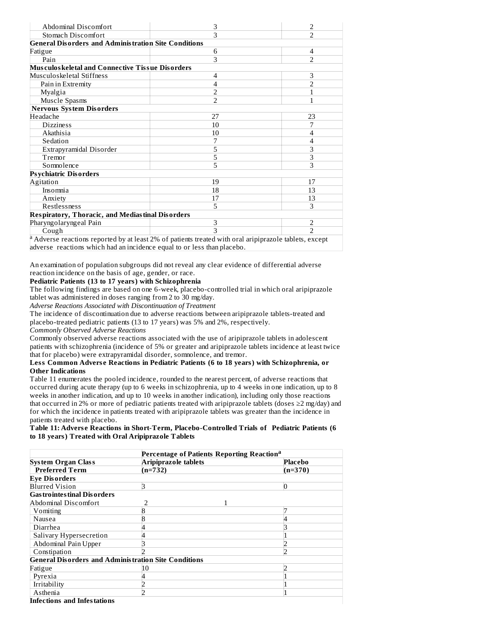| Abdominal Discomfort                                                                                               | 3  | 2              |
|--------------------------------------------------------------------------------------------------------------------|----|----------------|
| Stomach Discomfort                                                                                                 | 3  | フ              |
| <b>General Disorders and Administration Site Conditions</b>                                                        |    |                |
| Fatigue                                                                                                            | 6  | $\overline{4}$ |
| Pain                                                                                                               | 3  | $\overline{2}$ |
| Musculos keletal and Connective Tissue Disorders                                                                   |    |                |
| Musculoskeletal Stiffness                                                                                          | 4  | 3              |
| Pain in Extremity                                                                                                  | 4  | 2              |
| Myalgia                                                                                                            | 2  |                |
| Muscle Spasms                                                                                                      | 2  |                |
| <b>Nervous System Disorders</b>                                                                                    |    |                |
| Headache                                                                                                           | 27 | 23             |
| <b>Dizziness</b>                                                                                                   | 10 | 7              |
| Akathisia                                                                                                          | 10 | 4              |
| Sedation                                                                                                           | 7  | 4              |
| Extrapyramidal Disorder                                                                                            | 5  | 3              |
| Tremor                                                                                                             | 5  | 3              |
| Somnolence                                                                                                         | 5  | 3              |
| <b>Psychiatric Disorders</b>                                                                                       |    |                |
| Agitation                                                                                                          | 19 | 17             |
| Insomnia                                                                                                           | 18 | 13             |
| Anxiety                                                                                                            | 17 | 13             |
| <b>Restlessness</b>                                                                                                | 5  | 3              |
| <b>Respiratory, Thoracic, and Mediastinal Disorders</b>                                                            |    |                |
| Pharyngolaryngeal Pain                                                                                             | 3  | 2              |
| Cough                                                                                                              | 3  | $\overline{2}$ |
| $\frac{1}{6}$ Adverse reactions reported by at least 2% of patients treated with oral aripiprazole tablets, except |    |                |
| adverse reactions which had an incidence equal to or less than placebo.                                            |    |                |

An examination of population subgroups did not reveal any clear evidence of differential adverse reaction incidence on the basis of age, gender, or race.

## **Pediatric Patients (13 to 17 years) with Schizophrenia**

The following findings are based on one 6-week, placebo-controlled trial in which oral aripiprazole tablet was administered in doses ranging from 2 to 30 mg/day.

*Adverse Reactions Associated with Discontinuation of Treatment*

The incidence of discontinuation due to adverse reactions between aripiprazole tablets-treated and

placebo-treated pediatric patients (13 to 17 years) was 5% and 2%, respectively.

*Commonly Observed Adverse Reactions*

Commonly observed adverse reactions associated with the use of aripiprazole tablets in adolescent patients with schizophrenia (incidence of 5% or greater and aripiprazole tablets incidence at least twice that for placebo) were extrapyramidal disorder, somnolence, and tremor.

#### **Less Common Advers e Reactions in Pediatric Patients (6 to 18 years) with Schizophrenia, or Other Indications**

Table 11 enumerates the pooled incidence, rounded to the nearest percent, of adverse reactions that occurred during acute therapy (up to 6 weeks in schizophrenia, up to 4 weeks in one indication, up to 8 weeks in another indication, and up to 10 weeks in another indication), including only those reactions that occurred in 2% or more of pediatric patients treated with aripiprazole tablets (doses ≥2 mg/day) and for which the incidence in patients treated with aripiprazole tablets was greater than the incidence in patients treated with placebo.

#### **Table 11: Advers e Reactions in Short-Term, Placebo-Controlled Trials of Pediatric Patients (6 to 18 years) Treated with Oral Aripiprazole Tablets**

|                                                             | Percentage of Patients Reporting Reaction <sup>a</sup> |           |
|-------------------------------------------------------------|--------------------------------------------------------|-----------|
| <b>System Organ Class</b>                                   | Aripiprazole tablets                                   | Placebo   |
| <b>Preferred Term</b>                                       | (n=732)                                                | $(n=370)$ |
| <b>Eve Disorders</b>                                        |                                                        |           |
| Blurred Vision                                              | З                                                      |           |
| <b>Gastrointestinal Disorders</b>                           |                                                        |           |
| Abdominal Discomfort                                        | 1                                                      |           |
| Vomiting                                                    |                                                        |           |
| Nausea                                                      |                                                        |           |
| Diarrhea                                                    |                                                        |           |
| Salivary Hypersecretion                                     |                                                        |           |
| Abdominal Pain Upper                                        |                                                        |           |
| Constipation                                                |                                                        |           |
| <b>General Disorders and Administration Site Conditions</b> |                                                        |           |
| Fatigue                                                     | 10                                                     |           |
| Pyrexia                                                     |                                                        |           |
| Irritability                                                |                                                        |           |
| Asthenia                                                    |                                                        |           |
| <b>Infections and Infestations</b>                          |                                                        |           |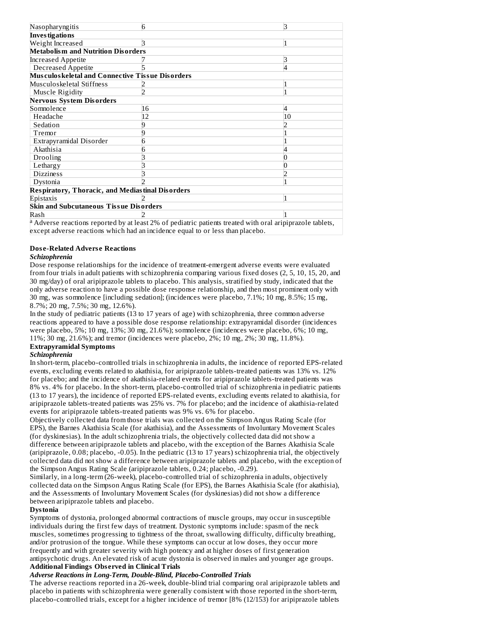| Nasopharyngitis                                                                | 6  | З                                                                                                                    |
|--------------------------------------------------------------------------------|----|----------------------------------------------------------------------------------------------------------------------|
| <b>Investigations</b>                                                          |    |                                                                                                                      |
| Weight Increased                                                               | ß  |                                                                                                                      |
| <b>Metabolism and Nutrition Disorders</b>                                      |    |                                                                                                                      |
| Increased Appetite                                                             |    |                                                                                                                      |
| Decreased Appetite                                                             |    |                                                                                                                      |
| <b>Musculoskeletal and Connective Tissue Disorders</b>                         |    |                                                                                                                      |
| Musculoskeletal Stiffness                                                      |    |                                                                                                                      |
| Muscle Rigidity                                                                |    |                                                                                                                      |
| Nervous System Disorders                                                       |    |                                                                                                                      |
| Somnolence                                                                     | 16 | 4                                                                                                                    |
| Headache                                                                       | 12 | 10                                                                                                                   |
| Sedation                                                                       |    |                                                                                                                      |
| Tremor                                                                         |    |                                                                                                                      |
| Extrapyramidal Disorder                                                        |    |                                                                                                                      |
| Akathisia                                                                      |    |                                                                                                                      |
| Drooling                                                                       |    |                                                                                                                      |
| Lethargy                                                                       |    |                                                                                                                      |
| <b>Dizziness</b>                                                               |    |                                                                                                                      |
| Dystonia                                                                       |    |                                                                                                                      |
| Respiratory, Thoracic, and Mediastinal Disorders                               |    |                                                                                                                      |
| Epistaxis                                                                      |    |                                                                                                                      |
| <b>Skin and Subcutaneous Tissue Disorders</b>                                  |    |                                                                                                                      |
| Rash                                                                           |    |                                                                                                                      |
|                                                                                |    | <sup>a</sup> Adverse reactions reported by at least 2% of pediatric patients treated with oral aripiprazole tablets, |
| except adverse reactions which had an incidence equal to or less than placebo. |    |                                                                                                                      |

#### **Dos e-Related Advers e Reactions** *Schizophrenia*

Dose response relationships for the incidence of treatment-emergent adverse events were evaluated from four trials in adult patients with schizophrenia comparing various fixed doses (2, 5, 10, 15, 20, and 30 mg/day) of oral aripiprazole tablets to placebo. This analysis, stratified by study, indicated that the only adverse reaction to have a possible dose response relationship, and then most prominent only with 30 mg, was somnolence [including sedation]; (incidences were placebo, 7.1%; 10 mg, 8.5%; 15 mg, 8.7%; 20 mg, 7.5%; 30 mg, 12.6%).

In the study of pediatric patients (13 to 17 years of age) with schizophrenia, three common adverse reactions appeared to have a possible dose response relationship: extrapyramidal disorder (incidences were placebo, 5%; 10 mg, 13%; 30 mg, 21.6%); somnolence (incidences were placebo, 6%; 10 mg, 11%; 30 mg, 21.6%); and tremor (incidences were placebo, 2%; 10 mg, 2%; 30 mg, 11.8%).

## **Extrapyramidal Symptoms**

## *Schizophrenia*

In short-term, placebo-controlled trials in schizophrenia in adults, the incidence of reported EPS-related events, excluding events related to akathisia, for aripiprazole tablets-treated patients was 13% vs. 12% for placebo; and the incidence of akathisia-related events for aripiprazole tablets-treated patients was 8% vs. 4% for placebo. In the short-term, placebo-controlled trial of schizophrenia in pediatric patients (13 to 17 years), the incidence of reported EPS-related events, excluding events related to akathisia, for aripiprazole tablets-treated patients was 25% vs. 7% for placebo; and the incidence of akathisia-related events for aripiprazole tablets-treated patients was 9% vs. 6% for placebo.

Objectively collected data from those trials was collected on the Simpson Angus Rating Scale (for EPS), the Barnes Akathisia Scale (for akathisia), and the Assessments of Involuntary Movement Scales (for dyskinesias). In the adult schizophrenia trials, the objectively collected data did not show a difference between aripiprazole tablets and placebo, with the exception of the Barnes Akathisia Scale (aripiprazole, 0.08; placebo, -0.05). In the pediatric (13 to 17 years) schizophrenia trial, the objectively collected data did not show a difference between aripiprazole tablets and placebo, with the exception of the Simpson Angus Rating Scale (aripiprazole tablets, 0.24; placebo, -0.29).

Similarly, in a long-term (26-week), placebo-controlled trial of schizophrenia in adults, objectively collected data on the Simpson Angus Rating Scale (for EPS), the Barnes Akathisia Scale (for akathisia), and the Assessments of Involuntary Movement Scales (for dyskinesias) did not show a difference between aripiprazole tablets and placebo.

## **Dystonia**

Symptoms of dystonia, prolonged abnormal contractions of muscle groups, may occur in susceptible individuals during the first few days of treatment. Dystonic symptoms include: spasm of the neck muscles, sometimes progressing to tightness of the throat, swallowing difficulty, difficulty breathing, and/or protrusion of the tongue. While these symptoms can occur at low doses, they occur more frequently and with greater severity with high potency and at higher doses of first generation antipsychotic drugs. An elevated risk of acute dystonia is observed in males and younger age groups. **Additional Findings Obs erved in Clinical Trials**

## *Adverse Reactions in Long-Term, Double-Blind, Placebo-Controlled Trials*

The adverse reactions reported in a 26-week, double-blind trial comparing oral aripiprazole tablets and placebo in patients with schizophrenia were generally consistent with those reported in the short-term, placebo-controlled trials, except for a higher incidence of tremor [8% (12/153) for aripiprazole tablets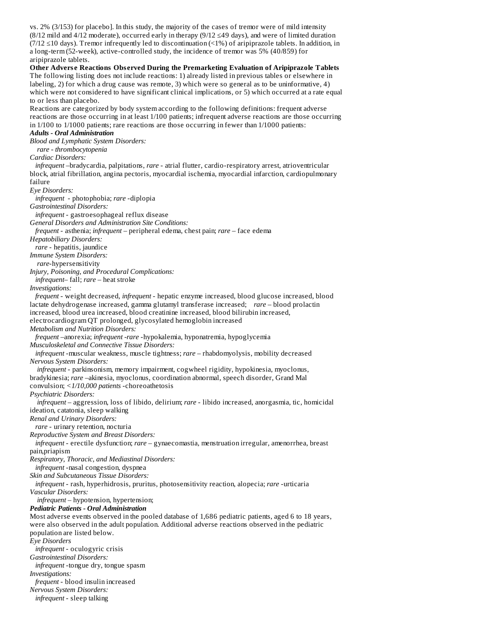vs. 2% (3/153) for placebo]. In this study, the majority of the cases of tremor were of mild intensity (8/12 mild and 4/12 moderate), occurred early in therapy (9/12  $\leq$  49 days), and were of limited duration  $(7/12 \le 10$  days). Tremor infrequently led to discontinuation  $(\le 1\%)$  of aripiprazole tablets. In addition, in a long-term (52-week), active-controlled study, the incidence of tremor was 5% (40/859) for aripiprazole tablets.

**Other Advers e Reactions Obs erved During the Premarketing Evaluation of Aripiprazole Tablets**

The following listing does not include reactions: 1) already listed in previous tables or elsewhere in labeling, 2) for which a drug cause was remote, 3) which were so general as to be uninformative, 4) which were not considered to have significant clinical implications, or 5) which occurred at a rate equal to or less than placebo.

Reactions are categorized by body system according to the following definitions: frequent adverse reactions are those occurring in at least 1/100 patients; infrequent adverse reactions are those occurring in 1/100 to 1/1000 patients; rare reactions are those occurring in fewer than 1/1000 patients: *Adults - Oral Administration*

*Blood and Lymphatic System Disorders:*

*rare - thrombocytopenia*

*Cardiac Disorders:*

*infrequent* –bradycardia, palpitations, *rare* - atrial flutter, cardio-respiratory arrest, atrioventricular block, atrial fibrillation, angina pectoris, myocardial ischemia, myocardial infarction, cardiopulmonary failure

*Eye Disorders:*

*infrequent* - photophobia; *rare* -diplopia

*Gastrointestinal Disorders:*

*infrequent* - gastroesophageal reflux disease

*General Disorders and Administration Site Conditions:*

*frequent* - asthenia; *infrequent* – peripheral edema, chest pain; *rare* – face edema

*Hepatobiliary Disorders:*

*rare* - hepatitis, jaundice

*Immune System Disorders:*

*rare*-hypersensitivity

*Injury, Poisoning, and Procedural Complications:*

*infrequent*– fall; *rare* – heat stroke

*Investigations:*

*frequent* - weight decreased, *infrequent* - hepatic enzyme increased, blood glucose increased, blood lactate dehydrogenase increased, gamma glutamyl transferase increased; *rare* – blood prolactin increased, blood urea increased, blood creatinine increased, blood bilirubin increased, electrocardiogram QT prolonged, glycosylated hemoglobin increased

*Metabolism and Nutrition Disorders:*

*frequent* –anorexia; *infrequent -rare* -hypokalemia, hyponatremia, hypoglycemia

*Musculoskeletal and Connective Tissue Disorders:*

*infrequent* -muscular weakness, muscle tightness; *rare* – rhabdomyolysis, mobility decreased *Nervous System Disorders:*

*infrequent* - parkinsonism, memory impairment, cogwheel rigidity, hypokinesia, myoclonus, bradykinesia; *rare* –akinesia, myoclonus, coordination abnormal, speech disorder, Grand Mal convulsion; *<1/10,000 patients* -choreoathetosis

*Psychiatric Disorders:*

*infrequent* – aggression, loss of libido, delirium; *rare* - libido increased, anorgasmia, tic, homicidal ideation, catatonia, sleep walking

*Renal and Urinary Disorders:*

*rare* - urinary retention, nocturia

*Reproductive System and Breast Disorders:*

*infrequent* - erectile dysfunction; *rare* – gynaecomastia, menstruation irregular, amenorrhea, breast pain,priapism

*Respiratory, Thoracic, and Mediastinal Disorders:*

*infrequent* -nasal congestion, dyspnea

*Skin and Subcutaneous Tissue Disorders:*

*infrequent* - rash, hyperhidrosis, pruritus, photosensitivity reaction, alopecia; *rare* -urticaria *Vascular Disorders:*

*infrequent* – hypotension, hypertension;

*Pediatric Patients - Oral Administration*

Most adverse events observed in the pooled database of 1,686 pediatric patients, aged 6 to 18 years, were also observed in the adult population. Additional adverse reactions observed in the pediatric population are listed below.

*Eye Disorders*

*infrequent* - oculogyric crisis

*Gastrointestinal Disorders:*

*infrequent* -tongue dry, tongue spasm *Investigations:*

*frequent* - blood insulin increased

*Nervous System Disorders:*

*infrequent* - sleep talking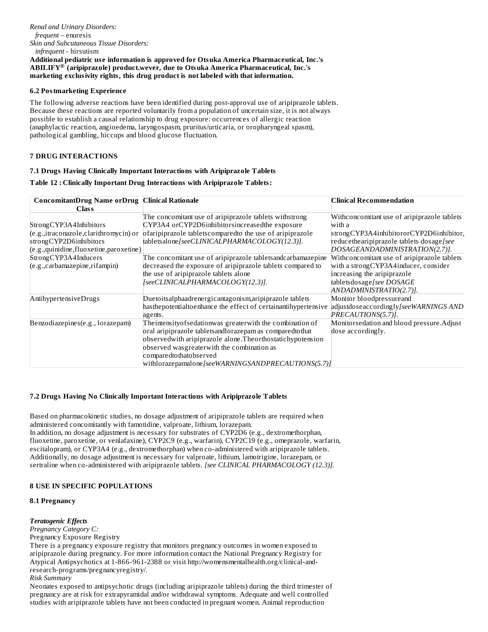*Renal and Urinary Disorders: frequent* – enuresis *Skin and Subcutaneous Tissue Disorders: infrequent* - hirsutism

**Additional pediatric us e information is approved for Otsuka America Pharmaceutical, Inc.'s ABILIFY (aripiprazole) product.wever, due to Otsuka America Pharmaceutical, Inc.'s ®marketing exclusivity rights, this drug product is not labeled with that information.**

## **6.2 Postmarketing Experience**

The following adverse reactions have been identified during post-approval use of aripiprazole tablets. Because these reactions are reported voluntarily from a population of uncertain size, it is not always possible to establish a causal relationship to drug exposure: occurrences of allergic reaction (anaphylactic reaction, angioedema, laryngospasm, pruritus/urticaria, or oropharyngeal spasm), pathological gambling, hiccups and blood glucose fluctuation.

## **7 DRUG INTERACTIONS**

## **7.1 Drugs Having Clinically Important Interactions with Aripiprazole Tablets**

**Table 12 : Clinically Important Drug Interactions with Aripiprazole Tablets:**

| <b>ConcomitantDrug Name orDrug Clinical Rationale</b> |                                                                                                        | Clinical Recommendation                     |
|-------------------------------------------------------|--------------------------------------------------------------------------------------------------------|---------------------------------------------|
| <b>Class</b>                                          |                                                                                                        |                                             |
|                                                       | The concomitant use of aripiprazole tablets withstrong                                                 | Withconcomitant use of aripiprazole tablets |
| StrongCYP3A4Inhibitors                                | CYP3A4 orCYP2D6inhibitorsincreasedthe exposure                                                         | with a                                      |
|                                                       | $(e.g., it a conazole, clarithromycin)$ or of aripiprazole tablets compared to the use of aripiprazole | strongCYP3A4inhibitororCYP2D6inhibitor,     |
| strongCYP2D6inhibitors                                | tabletsalone [seeCLINICALPHARMACOLOGY(12.3)].                                                          | reducethearipiprazole tablets dosage/see    |
| $(e.g.,$ quinidine, fluoxetine, paroxetine)           |                                                                                                        | DOSAGEANDADMINISTRATION(2.7)].              |
| StrongCYP3A4Inducers                                  | The concomitant use of aripiprazole tabletsandcarbamazepine                                            | Withconcomitant use of aripiprazole tablets |
| (e.g., carbamazepine, rifampin)                       | decreased the exposure of aripiprazole tablets compared to                                             | with a strongCYP3A4inducer, consider        |
|                                                       | the use of aripiprazole tablets alone                                                                  | increasing the aripiprazole                 |
|                                                       | [seeCLINICALPHARMACOLOGY(12.3)].                                                                       | tabletsdosage[see DOSAGE                    |
|                                                       |                                                                                                        | ANDADMINISTRATIO(2.7)].                     |
| AntihypertensiveDrugs                                 | Duetoitsalphaadrenergicantagonism, aripiprazole tablets                                                | Monitor bloodpressureand                    |
|                                                       | hasthepotentialtoenhance the effect of certainantihypertensive                                         | adjustdoseaccordingly[seeWARNINGS AND       |
|                                                       | agents.                                                                                                | PRECAUTIONS(5.7)].                          |
| Benzodiazepines(e.g., lorazepam)                      | The intensity of sedation was greater with the combination of                                          | Monitorsedation and blood pressure.Adjust   |
|                                                       | oral aripiprazole tabletsandlorazepam as comparedtothat                                                | dose accordingly.                           |
|                                                       | observedwith aripiprazole alone. Theorthostatichypotension                                             |                                             |
|                                                       | observed wasgreaterwith the combination as                                                             |                                             |
|                                                       | comparedtothatobserved                                                                                 |                                             |
|                                                       | withlorazepamalone [seeWARNINGSANDPRECAUTIONS(5.7)]                                                    |                                             |

## **7.2 Drugs Having No Clinically Important Interactions with Aripiprazole Tablets**

Based on pharmacokinetic studies, no dosage adjustment of aripiprazole tablets are required when administered concomitantly with famotidine, valproate, lithium, lorazepam. In addition, no dosage adjustment is necessary for substrates of CYP2D6 (e.g., dextromethorphan, fluoxetine, paroxetine, or venlafaxine), CYP2C9 (e.g., warfarin), CYP2C19 (e.g., omeprazole, warfarin, escitalopram), or CYP3A4 (e.g., dextromethorphan) when co-administered with aripiprazole tablets. Additionally, no dosage adjustment is necessary for valproate, lithium, lamotrigine, lorazepam, or sertraline when co-administered with aripiprazole tablets. *[see CLINICAL PHARMACOLOGY (12.3)].*

## **8 USE IN SPECIFIC POPULATIONS**

#### **8.1 Pregnancy**

## *Teratogenic Effects*

*Pregnancy Category C:*

Pregnancy Exposure Registry

There is a pregnancy exposure registry that monitors pregnancy outcomes in women exposed to aripiprazole during pregnancy. For more information contact the National Pregnancy Registry for Atypical Antipsychotics at 1-866-961-2388 or visit http://womensmentalhealth.org/clinical-andresearch-programs/pregnancyregistry/.

## *Risk Summary*

Neonates exposed to antipsychotic drugs (including aripiprazole tablets) during the third trimester of pregnancy are at risk for extrapyramidal and/or withdrawal symptoms. Adequate and well controlled studies with aripiprazole tablets have not been conducted in pregnant women. Animal reproduction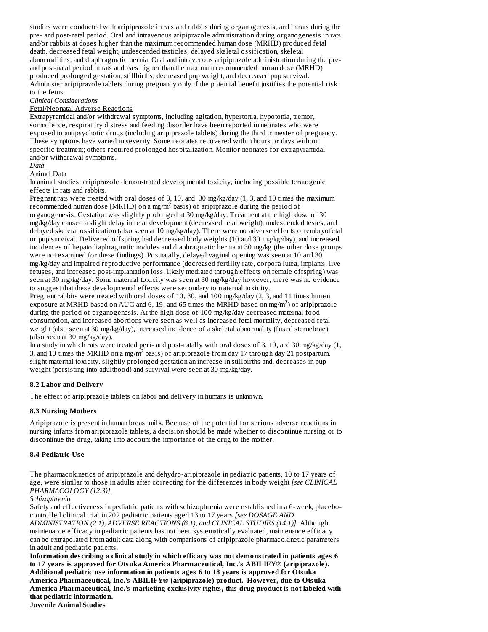studies were conducted with aripiprazole in rats and rabbits during organogenesis, and in rats during the pre- and post-natal period. Oral and intravenous aripiprazole administration during organogenesis in rats and/or rabbits at doses higher than the maximum recommended human dose (MRHD) produced fetal death, decreased fetal weight, undescended testicles, delayed skeletal ossification, skeletal abnormalities, and diaphragmatic hernia. Oral and intravenous aripiprazole administration during the preand post-natal period in rats at doses higher than the maximum recommended human dose (MRHD) produced prolonged gestation, stillbirths, decreased pup weight, and decreased pup survival. Administer aripiprazole tablets during pregnancy only if the potential benefit justifies the potential risk to the fetus.

#### *Clinical Considerations*

#### Fetal/Neonatal Adverse Reactions

Extrapyramidal and/or withdrawal symptoms, including agitation, hypertonia, hypotonia, tremor, somnolence, respiratory distress and feeding disorder have been reported in neonates who were exposed to antipsychotic drugs (including aripiprazole tablets) during the third trimester of pregnancy. These symptoms have varied in severity. Some neonates recovered within hours or days without specific treatment; others required prolonged hospitalization. Monitor neonates for extrapyramidal and/or withdrawal symptoms.

#### *Data*

## Animal Data

In animal studies, aripiprazole demonstrated developmental toxicity, including possible teratogenic effects in rats and rabbits.

Pregnant rats were treated with oral doses of 3, 10, and 30 mg/kg/day (1, 3, and 10 times the maximum recommended human dose [MRHD] on a mg/m<sup>2</sup> basis) of aripiprazole during the period of organogenesis. Gestation was slightly prolonged at 30 mg/kg/day. Treatment at the high dose of 30 mg/kg/day caused a slight delay in fetal development (decreased fetal weight), undescended testes, and delayed skeletal ossification (also seen at 10 mg/kg/day). There were no adverse effects on embryofetal or pup survival. Delivered offspring had decreased body weights (10 and 30 mg/kg/day), and increased incidences of hepatodiaphragmatic nodules and diaphragmatic hernia at 30 mg/kg (the other dose groups were not examined for these findings). Postnatally, delayed vaginal opening was seen at 10 and 30 mg/kg/day and impaired reproductive performance (decreased fertility rate, corpora lutea, implants, live fetuses, and increased post-implantation loss, likely mediated through effects on female offspring) was seen at 30 mg/kg/day. Some maternal toxicity was seen at 30 mg/kg/day however, there was no evidence to suggest that these developmental effects were secondary to maternal toxicity.

Pregnant rabbits were treated with oral doses of 10, 30, and 100 mg/kg/day (2, 3, and 11 times human exposure at MRHD based on AUC and 6, 19, and 65 times the MRHD based on mg/m<sup>2</sup>) of aripiprazole during the period of organogenesis. At the high dose of 100 mg/kg/day decreased maternal food consumption, and increased abortions were seen as well as increased fetal mortality, decreased fetal weight (also seen at 30 mg/kg/day), increased incidence of a skeletal abnormality (fused sternebrae) (also seen at 30 mg/kg/day).

In a study in which rats were treated peri- and post-natally with oral doses of 3, 10, and 30 mg/kg/day (1, 3, and 10 times the MRHD on a mg/m<sup>2</sup> basis) of aripiprazole from day 17 through day 21 postpartum, slight maternal toxicity, slightly prolonged gestation an increase in stillbirths and, decreases in pup weight (persisting into adulthood) and survival were seen at 30 mg/kg/day.

#### **8.2 Labor and Delivery**

The effect of aripiprazole tablets on labor and delivery in humans is unknown.

#### **8.3 Nursing Mothers**

Aripiprazole is present in human breast milk. Because of the potential for serious adverse reactions in nursing infants from aripiprazole tablets, a decision should be made whether to discontinue nursing or to discontinue the drug, taking into account the importance of the drug to the mother.

#### **8.4 Pediatric Us e**

The pharmacokinetics of aripiprazole and dehydro-aripiprazole in pediatric patients, 10 to 17 years of age, were similar to those in adults after correcting for the differences in body weight *[see CLINICAL PHARMACOLOGY (12.3)].*

#### *Schizophrenia*

Safety and effectiveness in pediatric patients with schizophrenia were established in a 6-week, placebocontrolled clinical trial in 202 pediatric patients aged 13 to 17 years *[see DOSAGE AND ADMINISTRATION (2.1), ADVERSE REACTIONS (6.1), and CLINICAL STUDIES (14.1)].* Although maintenance efficacy in pediatric patients has not been systematically evaluated, maintenance efficacy can be extrapolated from adult data along with comparisons of aripiprazole pharmacokinetic parameters in adult and pediatric patients.

**Information des cribing a clinical study in which efficacy was not demonstrated in patients ages 6 to 17 years is approved for Otsuka America Pharmaceutical, Inc.'s ABILIFY® (aripiprazole). Additional pediatric us e information in patients ages 6 to 18 years is approved for Otsuka America Pharmaceutical, Inc.'s ABILIFY® (aripiprazole) product. However, due to Otsuka America Pharmaceutical, Inc.'s marketing exclusivity rights, this drug product is not labeled with that pediatric information. Juvenile Animal Studies**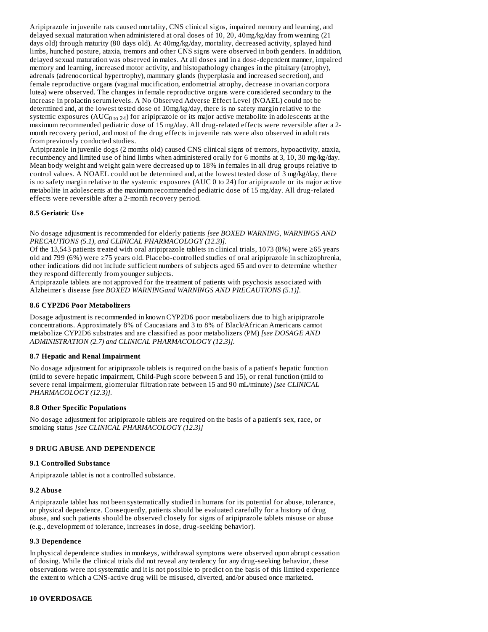Aripiprazole in juvenile rats caused mortality, CNS clinical signs, impaired memory and learning, and delayed sexual maturation when administered at oral doses of 10, 20, 40mg/kg/day from weaning (21 days old) through maturity (80 days old). At 40mg/kg/day, mortality, decreased activity, splayed hind limbs, hunched posture, ataxia, tremors and other CNS signs were observed in both genders. In addition, delayed sexual maturation was observed in males. At all doses and in a dose-dependent manner, impaired memory and learning, increased motor activity, and histopathology changes in the pituitary (atrophy), adrenals (adrenocortical hypertrophy), mammary glands (hyperplasia and increased secretion), and female reproductive organs (vaginal mucification, endometrial atrophy, decrease in ovarian corpora lutea) were observed. The changes in female reproductive organs were considered secondary to the increase in prolactin serum levels. A No Observed Adverse Effect Level (NOAEL) could not be determined and, at the lowest tested dose of 10mg/kg/day, there is no safety margin relative to the systemic exposures (AUC $_{\rm 0~to~24})$  for aripiprazole or its major active metabolite in adolescents at the maximum recommended pediatric dose of 15 mg/day. All drug-related effects were reversible after a 2 month recovery period, and most of the drug effects in juvenile rats were also observed in adult rats from previously conducted studies.

Aripiprazole in juvenile dogs (2 months old) caused CNS clinical signs of tremors, hypoactivity, ataxia, recumbency and limited use of hind limbs when administered orally for 6 months at 3, 10, 30 mg/kg/day. Mean body weight and weight gain were decreased up to 18% in females in all drug groups relative to control values. A NOAEL could not be determined and, at the lowest tested dose of 3 mg/kg/day, there is no safety margin relative to the systemic exposures (AUC 0 to 24) for aripiprazole or its major active metabolite in adolescents at the maximum recommended pediatric dose of 15 mg/day. All drug-related effects were reversible after a 2-month recovery period.

## **8.5 Geriatric Us e**

No dosage adjustment is recommended for elderly patients *[see BOXED WARNING, WARNINGS AND PRECAUTIONS (5.1), and CLINICAL PHARMACOLOGY (12.3)].*

Of the 13,543 patients treated with oral aripiprazole tablets in clinical trials, 1073 (8%) were ≥65 years old and 799 (6%) were ≥75 years old. Placebo-controlled studies of oral aripiprazole in schizophrenia, other indications did not include sufficient numbers of subjects aged 65 and over to determine whether they respond differently from younger subjects.

Aripiprazole tablets are not approved for the treatment of patients with psychosis associated with Alzheimer's disease *[see BOXED WARNINGand WARNINGS AND PRECAUTIONS (5.1)]*.

## **8.6 CYP2D6 Poor Metabolizers**

Dosage adjustment is recommended in known CYP2D6 poor metabolizers due to high aripiprazole concentrations. Approximately 8% of Caucasians and 3 to 8% of Black/African Americans cannot metabolize CYP2D6 substrates and are classified as poor metabolizers (PM) *[see DOSAGE AND ADMINISTRATION (2.7) and CLINICAL PHARMACOLOGY (12.3)].*

## **8.7 Hepatic and Renal Impairment**

No dosage adjustment for aripiprazole tablets is required on the basis of a patient's hepatic function (mild to severe hepatic impairment, Child-Pugh score between 5 and 15), or renal function (mild to severe renal impairment, glomerular filtration rate between 15 and 90 mL/minute) *[see CLINICAL PHARMACOLOGY (12.3)].*

## **8.8 Other Specific Populations**

No dosage adjustment for aripiprazole tablets are required on the basis of a patient's sex, race, or smoking status *[see CLINICAL PHARMACOLOGY (12.3)]*

## **9 DRUG ABUSE AND DEPENDENCE**

#### **9.1 Controlled Substance**

Aripiprazole tablet is not a controlled substance.

#### **9.2 Abus e**

Aripiprazole tablet has not been systematically studied in humans for its potential for abuse, tolerance, or physical dependence. Consequently, patients should be evaluated carefully for a history of drug abuse, and such patients should be observed closely for signs of aripiprazole tablets misuse or abuse (e.g., development of tolerance, increases in dose, drug-seeking behavior).

## **9.3 Dependence**

In physical dependence studies in monkeys, withdrawal symptoms were observed upon abrupt cessation of dosing. While the clinical trials did not reveal any tendency for any drug-seeking behavior, these observations were not systematic and it is not possible to predict on the basis of this limited experience the extent to which a CNS-active drug will be misused, diverted, and/or abused once marketed.

#### **10 OVERDOSAGE**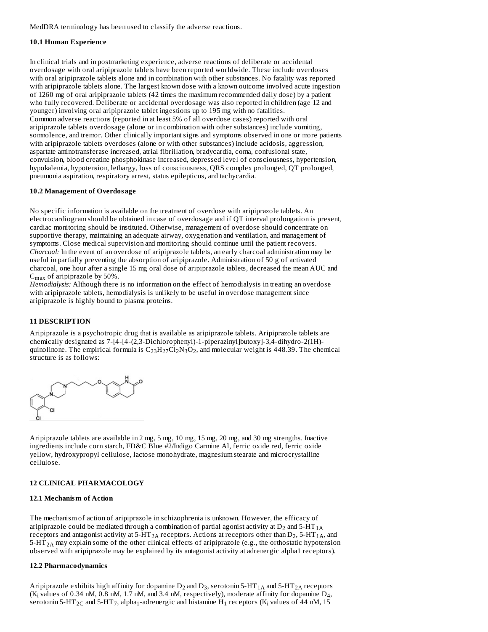MedDRA terminology has been used to classify the adverse reactions.

#### **10.1 Human Experience**

In clinical trials and in postmarketing experience, adverse reactions of deliberate or accidental overdosage with oral aripiprazole tablets have been reported worldwide. These include overdoses with oral aripiprazole tablets alone and in combination with other substances. No fatality was reported with aripiprazole tablets alone. The largest known dose with a known outcome involved acute ingestion of 1260 mg of oral aripiprazole tablets (42 times the maximum recommended daily dose) by a patient who fully recovered. Deliberate or accidental overdosage was also reported in children (age 12 and younger) involving oral aripiprazole tablet ingestions up to 195 mg with no fatalities. Common adverse reactions (reported in at least 5% of all overdose cases) reported with oral aripiprazole tablets overdosage (alone or in combination with other substances) include vomiting, somnolence, and tremor. Other clinically important signs and symptoms observed in one or more patients with aripiprazole tablets overdoses (alone or with other substances) include acidosis, aggression, aspartate aminotransferase increased, atrial fibrillation, bradycardia, coma, confusional state, convulsion, blood creatine phosphokinase increased, depressed level of consciousness, hypertension, hypokalemia, hypotension, lethargy, loss of consciousness, QRS complex prolonged, QT prolonged, pneumonia aspiration, respiratory arrest, status epilepticus, and tachycardia.

## **10.2 Management of Overdosage**

No specific information is available on the treatment of overdose with aripiprazole tablets. An electrocardiogram should be obtained in case of overdosage and if QT interval prolongation is present, cardiac monitoring should be instituted. Otherwise, management of overdose should concentrate on supportive therapy, maintaining an adequate airway, oxygenation and ventilation, and management of symptoms. Close medical supervision and monitoring should continue until the patient recovers. *Charcoal:* In the event of an overdose of aripiprazole tablets, an early charcoal administration may be useful in partially preventing the absorption of aripiprazole. Administration of 50 g of activated charcoal, one hour after a single 15 mg oral dose of aripiprazole tablets, decreased the mean AUC and  $C_{\rm max}$  of aripiprazole by 50%.

*Hemodialysis:* Although there is no information on the effect of hemodialysis in treating an overdose with aripiprazole tablets, hemodialysis is unlikely to be useful in overdose management since aripiprazole is highly bound to plasma proteins.

## **11 DESCRIPTION**

Aripiprazole is a psychotropic drug that is available as aripiprazole tablets. Aripiprazole tablets are chemically designated as 7-[4-[4-(2,3-Dichlorophenyl)-1-piperazinyl]butoxy]-3,4-dihydro-2(1H) quinolinone. The empirical formula is  $C_{23}H_{27}Cl_{2}N_3O_2$ , and molecular weight is 448.39. The chemical structure is as follows:



Aripiprazole tablets are available in 2 mg, 5 mg, 10 mg, 15 mg, 20 mg, and 30 mg strengths. Inactive ingredients include corn starch, FD&C Blue #2/Indigo Carmine Al, ferric oxide red, ferric oxide yellow, hydroxypropyl cellulose, lactose monohydrate, magnesium stearate and microcrystalline cellulose.

## **12 CLINICAL PHARMACOLOGY**

## **12.1 Mechanism of Action**

The mechanism of action of aripiprazole in schizophrenia is unknown. However, the efficacy of aripiprazole could be mediated through a combination of partial agonist activity at  $\mathrm{D}_2$  and 5-HT  $_{1\mathrm{A}}$ receptors and antagonist activity at 5-HT  $_{2\mathrm{A}}$  receptors. Actions at receptors other than D<sub>2</sub>, 5-HT  $_{1\mathrm{A}}$ , and  $5-HT<sub>2A</sub>$  may explain some of the other clinical effects of aripiprazole (e.g., the orthostatic hypotension observed with aripiprazole may be explained by its antagonist activity at adrenergic alpha1 receptors).

## **12.2 Pharmacodynamics**

Aripiprazole exhibits high affinity for dopamine D<sub>2</sub> and D<sub>3</sub>, serotonin 5-HT<sub>1A</sub> and 5-HT<sub>2A</sub> receptors (K<sub>i</sub> values of 0.34 nM, 0.8 nM, 1.7 nM, and 3.4 nM, respectively), moderate affinity for dopamine  $\mathrm{D}_4$ , serotonin 5-HT $_{\rm 2C}$  and 5-HT $_7$ , alpha $_1$ -adrenergic and histamine H $_1$  receptors (K $_{\rm i}$  values of 44 nM, 15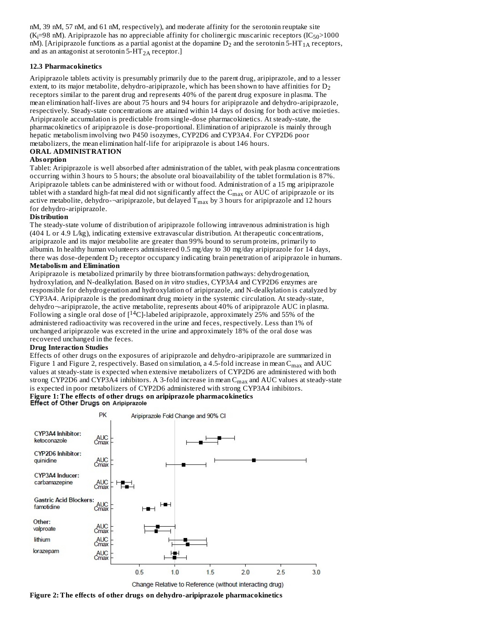nM, 39 nM, 57 nM, and 61 nM, respectively), and moderate affinity for the serotonin reuptake site  $(K<sub>i</sub>=98$  nM). Aripiprazole has no appreciable affinity for cholinergic muscarinic receptors (IC<sub>50</sub>>1000 nM). [Aripiprazole functions as a partial agonist at the dopamine  $D_2$  and the serotonin 5-HT  $_{1\rm A}$  receptors, and as an antagonist at serotonin 5- $\mathrm{HT}_{2\mathrm{A}}$  receptor.]

## **12.3 Pharmacokinetics**

Aripiprazole tablets activity is presumably primarily due to the parent drug, aripiprazole, and to a lesser extent, to its major metabolite, dehydro-aripiprazole, which has been shown to have affinities for  $\mathbf{D}_2$ receptors similar to the parent drug and represents 40% of the parent drug exposure in plasma. The mean elimination half-lives are about 75 hours and 94 hours for aripiprazole and dehydro-aripiprazole, respectively. Steady-state concentrations are attained within 14 days of dosing for both active moieties. Aripiprazole accumulation is predictable from single-dose pharmacokinetics. At steady-state, the pharmacokinetics of aripiprazole is dose-proportional. Elimination of aripiprazole is mainly through hepatic metabolism involving two P450 isozymes, CYP2D6 and CYP3A4. For CYP2D6 poor metabolizers, the mean elimination half-life for aripiprazole is about 146 hours. **ORAL ADMINISTRATION**

## **Absorption**

Tablet: Aripiprazole is well absorbed after administration of the tablet, with peak plasma concentrations occurring within 3 hours to 5 hours; the absolute oral bioavailability of the tablet formulation is 87%. Aripiprazole tablets can be administered with or without food. Administration of a 15 mg aripiprazole tablet with a standard high-fat meal did not significantly affect the  $\rm C_{max}$  or AUC of aripiprazole or its active metabolite, dehydro-¬aripiprazole, but delayed  $\rm T_{max}$  by 3 hours for aripiprazole and 12 hours for dehydro-aripiprazole.

## **Distribution**

The steady-state volume of distribution of aripiprazole following intravenous administration is high (404 L or 4.9 L/kg), indicating extensive extravascular distribution. At therapeutic concentrations, aripiprazole and its major metabolite are greater than 99% bound to serum proteins, primarily to albumin. In healthy human volunteers administered 0.5 mg/day to 30 mg/day aripiprazole for 14 days, there was dose-dependent  $D_2$  receptor occupancy indicating brain penetration of aripiprazole in humans. **Metabolism and Elimination**

Aripiprazole is metabolized primarily by three biotransformation pathways: dehydrogenation, hydroxylation, and N-dealkylation. Based on *in vitro* studies, CYP3A4 and CYP2D6 enzymes are responsible for dehydrogenation and hydroxylation of aripiprazole, and N-dealkylation is catalyzed by CYP3A4. Aripiprazole is the predominant drug moiety in the systemic circulation. At steady-state, dehydro¬-aripiprazole, the active metabolite, represents about 40% of aripiprazole AUC in plasma. Following a single oral dose of  $[$ <sup>14</sup>C]-labeled aripiprazole, approximately 25% and 55% of the administered radioactivity was recovered in the urine and feces, respectively. Less than 1% of unchanged aripiprazole was excreted in the urine and approximately 18% of the oral dose was recovered unchanged in the feces.

## **Drug Interaction Studies**

Effects of other drugs on the exposures of aripiprazole and dehydro-aripiprazole are summarized in Figure 1 and Figure 2, respectively. Based on simulation, a 4.5-fold increase in mean  $\rm{C_{max}}$  and  $\rm{AUC}$ values at steady-state is expected when extensive metabolizers of CYP2D6 are administered with both strong CYP2D6 and CYP3A4 inhibitors. A 3-fold increase in mean  $C_{\max}$  and AUC values at steady-state is expected in poor metabolizers of CYP2D6 administered with strong CYP3A4 inhibitors. **Figure 1: The effects of other drugs on aripiprazole pharmacokinetics**



**Figure 2: The effects of other drugs on dehydro-aripiprazole pharmacokinetics**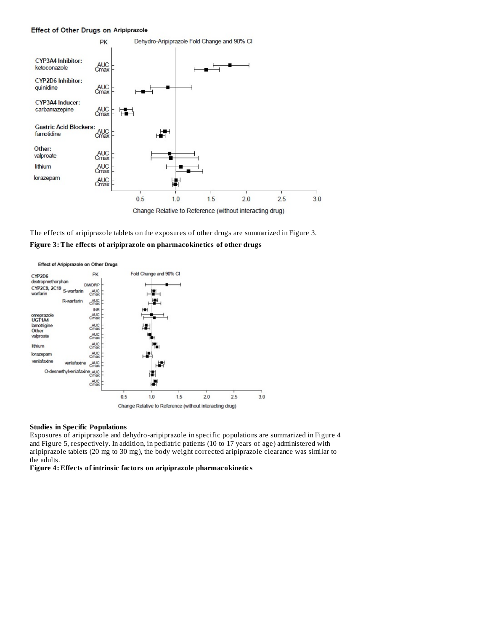#### Effect of Other Drugs on Aripiprazole



The effects of aripiprazole tablets on the exposures of other drugs are summarized in Figure 3.

## **Figure 3: The effects of aripiprazole on pharmacokinetics of other drugs**



#### **Studies in Specific Populations**

Exposures of aripiprazole and dehydro-aripiprazole in specific populations are summarized in Figure 4 and Figure 5, respectively. In addition, in pediatric patients (10 to 17 years of age) administered with aripiprazole tablets (20 mg to 30 mg), the body weight corrected aripiprazole clearance was similar to the adults.

**Figure 4: Effects of intrinsic factors on aripiprazole pharmacokinetics**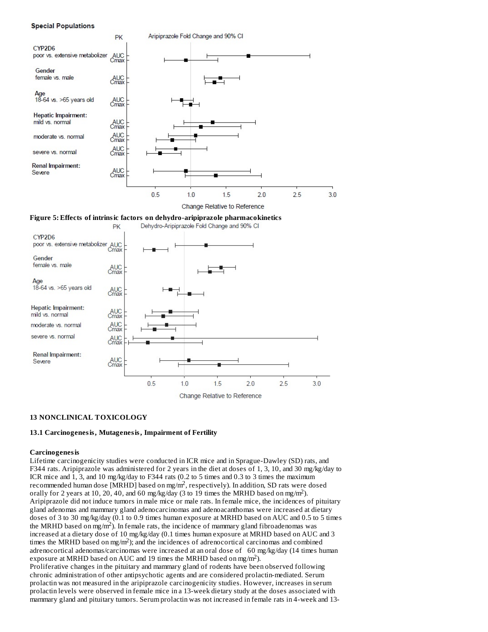## **Special Populations**



## **Figure 5: Effects of intrinsic factors on dehydro-aripiprazole pharmacokinetics**



## **13 NONCLINICAL TOXICOLOGY**

## **13.1 Carcinogenesis, Mutagenesis, Impairment of Fertility**

#### **Carcinogenesis**

Lifetime carcinogenicity studies were conducted in ICR mice and in Sprague-Dawley (SD) rats, and F344 rats. Aripiprazole was administered for 2 years in the diet at doses of 1, 3, 10, and 30 mg/kg/day to ICR mice and 1, 3, and 10 mg/kg/day to F344 rats (0.2 to 5 times and 0.3 to 3 times the maximum recommended human dose [MRHD] based on mg/m<sup>2</sup>, respectively). In addition, SD rats were dosed orally for 2 years at 10, 20, 40, and 60 mg/kg/day (3 to 19 times the MRHD based on mg/m<sup>2</sup>). Aripiprazole did not induce tumors in male mice or male rats. In female mice, the incidences of pituitary gland adenomas and mammary gland adenocarcinomas and adenoacanthomas were increased at dietary doses of 3 to 30 mg/kg/day (0.1 to 0.9 times human exposure at MRHD based on AUC and 0.5 to 5 times the MRHD based on mg/m<sup>2</sup>). In female rats, the incidence of mammary gland fibroadenomas was increased at a dietary dose of 10 mg/kg/day (0.1 times human exposure at MRHD based on AUC and 3 times the MRHD based on mg/m<sup>2</sup>); and the incidences of adrenocortical carcinomas and combined adrenocortical adenomas/carcinomas were increased at an oral dose of 60 mg/kg/day (14 times human exposure at MRHD based on AUC and 19 times the MRHD based on mg/m<sup>2</sup>).

Proliferative changes in the pituitary and mammary gland of rodents have been observed following chronic administration of other antipsychotic agents and are considered prolactin-mediated. Serum prolactin was not measured in the aripiprazole carcinogenicity studies. However, increases in serum prolactin levels were observed in female mice in a 13-week dietary study at the doses associated with mammary gland and pituitary tumors. Serum prolactin was not increased in female rats in 4-week and 13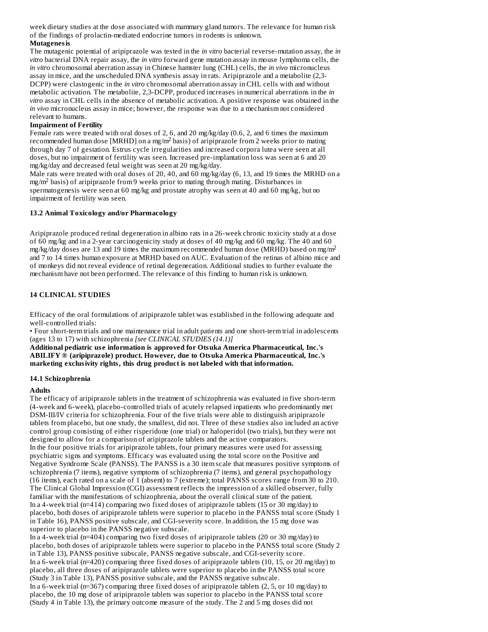week dietary studies at the dose associated with mammary gland tumors. The relevance for human risk of the findings of prolactin-mediated endocrine tumors in rodents is unknown. **Mutagenesis**

The mutagenic potential of aripiprazole was tested in the *in vitro* bacterial reverse-mutation assay, the *in vitro* bacterial DNA repair assay, the *in vitro* forward gene mutation assay in mouse lymphoma cells, the *in vitro* chromosomal aberration assay in Chinese hamster lung (CHL) cells, the *in vivo* micronucleus assay in mice, and the unscheduled DNA synthesis assay in rats. Aripiprazole and a metabolite (2,3- DCPP) were clastogenic in the *in vitro* chromosomal aberration assay in CHL cells with and without metabolic activation. The metabolite, 2,3-DCPP, produced increases in numerical aberrations in the *in vitro* assay in CHL cells in the absence of metabolic activation. A positive response was obtained in the *in vivo* micronucleus assay in mice; however, the response was due to a mechanism not considered relevant to humans.

## **Impairment of Fertility**

Female rats were treated with oral doses of 2, 6, and 20 mg/kg/day (0.6, 2, and 6 times the maximum recommended human dose [MRHD] on a mg/m<sup>2</sup> basis) of aripiprazole from 2 weeks prior to mating through day 7 of gestation. Estrus cycle irregularities and increased corpora lutea were seen at all doses, but no impairment of fertility was seen. Increased pre-implantation loss was seen at 6 and 20 mg/kg/day and decreased fetal weight was seen at 20 mg/kg/day.

Male rats were treated with oral doses of 20, 40, and 60 mg/kg/day (6, 13, and 19 times the MRHD on a mg/m<sup>2</sup> basis) of aripiprazole from 9 weeks prior to mating through mating. Disturbances in spermatogenesis were seen at 60 mg/kg and prostate atrophy was seen at 40 and 60 mg/kg, but no impairment of fertility was seen.

## **13.2 Animal Toxicology and/or Pharmacology**

Aripiprazole produced retinal degeneration in albino rats in a 26-week chronic toxicity study at a dose of 60 mg/kg and in a 2-year carcinogenicity study at doses of 40 mg/kg and 60 mg/kg. The 40 and 60 mg/kg/day doses are 13 and 19 times the maximum recommended human dose (MRHD) based on mg/m<sup>2</sup> and 7 to 14 times human exposure at MRHD based on AUC. Evaluation of the retinas of albino mice and of monkeys did not reveal evidence of retinal degeneration. Additional studies to further evaluate the mechanism have not been performed. The relevance of this finding to human risk is unknown.

## **14 CLINICAL STUDIES**

Efficacy of the oral formulations of aripiprazole tablet was established in the following adequate and well-controlled trials:

• Four short-term trials and one maintenance trial in adult patients and one short-term trial in adolescents (ages 13 to 17) with schizophrenia *[see CLINICAL STUDIES (14.1)]*

**Additional pediatric us e information is approved for Otsuka America Pharmaceutical, Inc.'s ABILIFY ® (aripiprazole) product. However, due to Otsuka America Pharmaceutical, Inc.'s marketing exclusivity rights, this drug product is not labeled with that information.**

#### **14.1 Schizophrenia**

## **Adults**

The efficacy of aripiprazole tablets in the treatment of schizophrenia was evaluated in five short-term (4-week and 6-week), placebo-controlled trials of acutely relapsed inpatients who predominantly met DSM-III/IV criteria for schizophrenia. Four of the five trials were able to distinguish aripiprazole tablets from placebo, but one study, the smallest, did not. Three of these studies also included an active control group consisting of either risperidone (one trial) or haloperidol (two trials), but they were not designed to allow for a comparison of aripiprazole tablets and the active comparators. In the four positive trials for aripiprazole tablets, four primary measures were used for assessing psychiatric signs and symptoms. Efficacy was evaluated using the total score on the Positive and Negative Syndrome Scale (PANSS). The PANSS is a 30 item scale that measures positive symptoms of schizophrenia (7 items), negative symptoms of schizophrenia (7 items), and general psychopathology (16 items), each rated on a scale of 1 (absent) to 7 (extreme); total PANSS scores range from 30 to 210. The Clinical Global Impression (CGI) assessment reflects the impression of a skilled observer, fully familiar with the manifestations of schizophrenia, about the overall clinical state of the patient. In a 4-week trial (n=414) comparing two fixed doses of aripiprazole tablets (15 or 30 mg/day) to placebo, both doses of aripiprazole tablets were superior to placebo in the PANSS total score (Study 1 in Table 16), PANSS positive subscale, and CGI-severity score. In addition, the 15 mg dose was superior to placebo in the PANSS negative subscale.

In a 4-week trial (n=404) comparing two fixed doses of aripiprazole tablets (20 or 30 mg/day) to placebo, both doses of aripiprazole tablets were superior to placebo in the PANSS total score (Study 2 in Table 13), PANSS positive subscale, PANSS negative subscale, and CGI-severity score. In a 6-week trial (n=420) comparing three fixed doses of aripiprazole tablets (10, 15, or 20 mg/day) to placebo, all three doses of aripiprazole tablets were superior to placebo in the PANSS total score (Study 3 in Table 13), PANSS positive subscale, and the PANSS negative subscale. In a 6-week trial (n=367) comparing three fixed doses of aripiprazole tablets (2, 5, or 10 mg/day) to placebo, the 10 mg dose of aripiprazole tablets was superior to placebo in the PANSS total score (Study 4 in Table 13), the primary outcome measure of the study. The 2 and 5 mg doses did not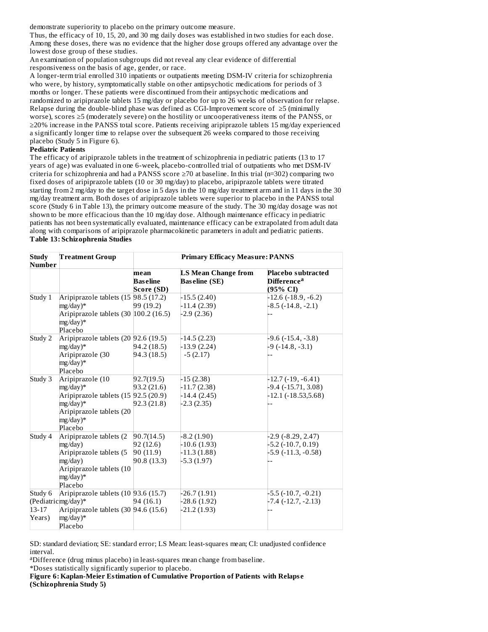demonstrate superiority to placebo on the primary outcome measure.

Thus, the efficacy of 10, 15, 20, and 30 mg daily doses was established in two studies for each dose. Among these doses, there was no evidence that the higher dose groups offered any advantage over the lowest dose group of these studies.

An examination of population subgroups did not reveal any clear evidence of differential responsiveness on the basis of age, gender, or race.

A longer-term trial enrolled 310 inpatients or outpatients meeting DSM-IV criteria for schizophrenia who were, by history, symptomatically stable on other antipsychotic medications for periods of 3 months or longer. These patients were discontinued from their antipsychotic medications and randomized to aripiprazole tablets 15 mg/day or placebo for up to 26 weeks of observation for relapse. Relapse during the double-blind phase was defined as CGI-Improvement score of  $\geq$ 5 (minimally worse), scores ≥5 (moderately severe) on the hostility or uncooperativeness items of the PANSS, or ≥20% increase in the PANSS total score. Patients receiving aripiprazole tablets 15 mg/day experienced a significantly longer time to relapse over the subsequent 26 weeks compared to those receiving placebo (Study 5 in Figure 6).

## **Pediatric Patients**

The efficacy of aripiprazole tablets in the treatment of schizophrenia in pediatric patients (13 to 17 years of age) was evaluated in one 6-week, placebo-controlled trial of outpatients who met DSM-IV criteria for schizophrenia and had a PANSS score ≥70 at baseline. In this trial (n=302) comparing two fixed doses of aripiprazole tablets (10 or 30 mg/day) to placebo, aripiprazole tablets were titrated starting from 2 mg/day to the target dose in 5 days in the 10 mg/day treatment arm and in 11 days in the 30 mg/day treatment arm. Both doses of aripiprazole tablets were superior to placebo in the PANSS total score (Study 6 in Table 13), the primary outcome measure of the study. The 30 mg/day dosage was not shown to be more efficacious than the 10 mg/day dose. Although maintenance efficacy in pediatric patients has not been systematically evaluated, maintenance efficacy can be extrapolated from adult data along with comparisons of aripiprazole pharmacokinetic parameters in adult and pediatric patients. **Table 13: Schizophrenia Studies**

| Study<br>Number                | <b>Treatment Group</b>                                                                                                                  | <b>Primary Efficacy Measure: PANNS</b>             |                                                                |                                                                               |
|--------------------------------|-----------------------------------------------------------------------------------------------------------------------------------------|----------------------------------------------------|----------------------------------------------------------------|-------------------------------------------------------------------------------|
|                                |                                                                                                                                         | mean<br><b>Baseline</b><br>Score (SD)              | <b>LS Mean Change from</b><br><b>Baseline (SE)</b>             | Placebo subtracted<br>Difference <sup>a</sup><br>(95% CI)                     |
| Study 1                        | Aripiprazole tablets (15 98.5 (17.2)<br>$mg/day)*$<br>Aripiprazole tablets $(30   100.2 (16.5))$<br>mg/day)*<br>Placebo                 | 99 (19.2)                                          | $-15.5(2.40)$<br>$-11.4(2.39)$<br>$-2.9(2.36)$                 | $-12.6$ ( $-18.9, -6.2$ )<br>$-8.5(-14.8, -2.1)$                              |
| Study 2                        | Aripiprazole tablets (20 92.6 (19.5)<br>$mg/day)*$<br>Aripiprazole (30<br>mg/day)*<br>Placebo                                           | 94.2 (18.5)<br>94.3 (18.5)                         | $-14.5(2.23)$<br>$-13.9(2.24)$<br>$-5(2.17)$                   | $-9.6$ $(-15.4, -3.8)$<br>$-9(-14.8, -3.1)$                                   |
| Study 3                        | Aripiprazole (10<br>$mg/day)*$<br>Aripiprazole tablets (15 92.5 (20.9)<br>mg/day)*<br>Aripiprazole tablets (20<br>$mg/day)*$<br>Placebo | 92.7(19.5)<br>93.2 (21.6)<br>92.3 (21.8)           | $-15(2.38)$<br>$-11.7(2.38)$<br>$-14.4(2.45)$<br>$-2.3(2.35)$  | $-12.7(-19, -6.41)$<br>$-9.4$ ( $-15.71, 3.08$ )<br>$-12.1$ $(-18.53,5.68)$   |
| Study 4                        | Aripiprazole tablets (2<br>mg/day)<br>Aripiprazole tablets (5<br>mg/day)<br>Aripiprazole tablets (10<br>mg/day)*<br>Placebo             | 90.7(14.5)<br>92 (12.6)<br>90(11.9)<br>90.8 (13.3) | $-8.2(1.90)$<br>$-10.6(1.93)$<br>$-11.3(1.88)$<br>$-5.3(1.97)$ | $-2.9$ $(-8.29, 2.47)$<br>$-5.2$ ( $-10.7, 0.19$ )<br>$-5.9$ $(-11.3, -0.58)$ |
| Study 6<br>$13 - 17$<br>Years) | Aripiprazole tablets (10 93.6 (15.7)<br>(Pediatricmg/day)*<br>Aripiprazole tablets (30 94.6 (15.6)<br>$mg/day)*$<br>Placebo             | 94 (16.1)                                          | $-26.7(1.91)$<br>$-28.6(1.92)$<br>$-21.2(1.93)$                | $-5.5$ ( $-10.7, -0.21$ )<br>-7.4 (-12.7, -2.13)                              |

Placebo

SD: standard deviation; SE: standard error; LS Mean: least-squares mean; CI: unadjusted confidence interval.

<sup>a</sup>Difference (drug minus placebo) in least-squares mean change from baseline. \*Doses statistically significantly superior to placebo.

**Figure 6: Kaplan-Meier Estimation of Cumulative Proportion of Patients with Relaps e (Schizophrenia Study 5)**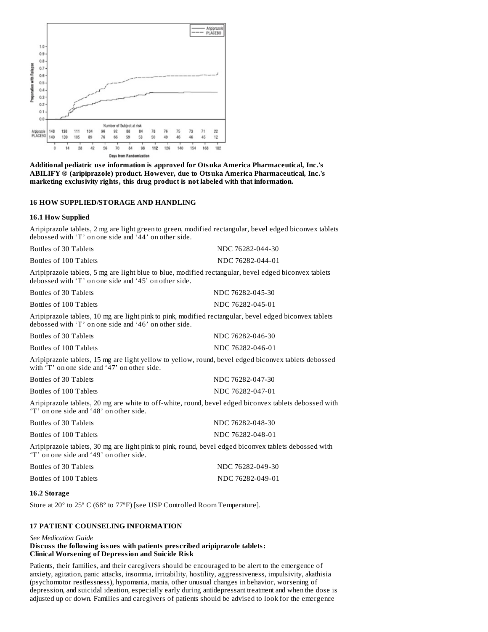

**Additional pediatric us e information is approved for Otsuka America Pharmaceutical, Inc.'s ABILIFY ® (aripiprazole) product. However, due to Otsuka America Pharmaceutical, Inc.'s marketing exclusivity rights, this drug product is not labeled with that information.**

#### **16 HOW SUPPLIED/STORAGE AND HANDLING**

#### **16.1 How Supplied**

Aripiprazole tablets, 2 mg are light green to green, modified rectangular, bevel edged biconvex tablets debossed with 'T' on one side and '44' on other side.

| <b>Bottles of 30 Tablets</b> | NDC 76282-044-30 |  |
|------------------------------|------------------|--|
| Bottles of 100 Tablets       | NDC 76282-044-01 |  |

Aripiprazole tablets, 5 mg are light blue to blue, modified rectangular, bevel edged biconvex tablets debossed with 'T' on one side and '45' on other side.

| Bottles of 30 Tablets  | NDC 76282-045-30 |
|------------------------|------------------|
| Bottles of 100 Tablets | NDC 76282-045-01 |

Aripiprazole tablets, 10 mg are light pink to pink, modified rectangular, bevel edged biconvex tablets debossed with 'T' on one side and '46' on other side.

| Bottles of 30 Tablets  | NDC 76282-046-30 |
|------------------------|------------------|
| Bottles of 100 Tablets | NDC 76282-046-01 |

Aripiprazole tablets, 15 mg are light yellow to yellow, round, bevel edged biconvex tablets debossed with 'T' on one side and '47' on other side.

| Bottles of 30 Tablets  | NDC 76282-047-30 |
|------------------------|------------------|
| Bottles of 100 Tablets | NDC 76282-047-01 |

Aripiprazole tablets, 20 mg are white to off-white, round, bevel edged biconvex tablets debossed with 'T' on one side and '48' on other side.

| Bottles of 30 Tablets                                                                                                                            | NDC 76282-048-30 |
|--------------------------------------------------------------------------------------------------------------------------------------------------|------------------|
| Bottles of 100 Tablets                                                                                                                           | NDC 76282-048-01 |
| Aripiprazole tablets, 30 mg are light pink to pink, round, bevel edged biconvex tablets debossed with<br>'T' on one side and '49' on other side. |                  |
| Bottles of 30 Tablets                                                                                                                            | NDC 76282-049-30 |

| DULLES UI DU THUICLS   | $11DU/0202-07J-00$ |
|------------------------|--------------------|
| Bottles of 100 Tablets | NDC 76282-049-01   |

#### **16.2 Storage**

Store at 20º to 25º C (68º to 77ºF) [see USP Controlled Room Temperature].

### **17 PATIENT COUNSELING INFORMATION**

*See Medication Guide*

## **Dis cuss the following issues with patients pres cribed aripiprazole tablets: Clinical Wors ening of Depression and Suicide Risk**

Patients, their families, and their caregivers should be encouraged to be alert to the emergence of anxiety, agitation, panic attacks, insomnia, irritability, hostility, aggressiveness, impulsivity, akathisia (psychomotor restlessness), hypomania, mania, other unusual changes in behavior, worsening of depression, and suicidal ideation, especially early during antidepressant treatment and when the dose is adjusted up or down. Families and caregivers of patients should be advised to look for the emergence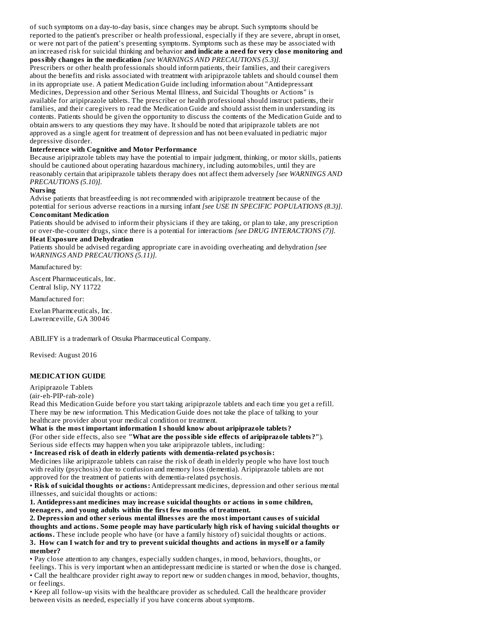of such symptoms on a day-to-day basis, since changes may be abrupt. Such symptoms should be reported to the patient's prescriber or health professional, especially if they are severe, abrupt in onset, or were not part of the patient's presenting symptoms. Symptoms such as these may be associated with an increased risk for suicidal thinking and behavior **and indicate a need for very clos e monitoring and possibly changes in the medication** *[see WARNINGS AND PRECAUTIONS (5.3)].*

Prescribers or other health professionals should inform patients, their families, and their caregivers about the benefits and risks associated with treatment with aripiprazole tablets and should counsel them in its appropriate use. A patient Medication Guide including information about "Antidepressant Medicines, Depression and other Serious Mental Illness, and Suicidal Thoughts or Actions" is available for aripiprazole tablets. The prescriber or health professional should instruct patients, their families, and their caregivers to read the Medication Guide and should assist them in understanding its contents. Patients should be given the opportunity to discuss the contents of the Medication Guide and to obtain answers to any questions they may have. It should be noted that aripiprazole tablets are not approved as a single agent for treatment of depression and has not been evaluated in pediatric major depressive disorder.

## **Interference with Cognitive and Motor Performance**

Because aripiprazole tablets may have the potential to impair judgment, thinking, or motor skills, patients should be cautioned about operating hazardous machinery, including automobiles, until they are reasonably certain that aripiprazole tablets therapy does not affect them adversely *[see WARNINGS AND PRECAUTIONS (5.10)].*

## **Nursing**

Advise patients that breastfeeding is not recommended with aripiprazole treatment because of the potential for serious adverse reactions in a nursing infant *[see USE IN SPECIFIC POPULATIONS (8.3)]*.

## **Concomitant Medication**

Patients should be advised to inform their physicians if they are taking, or plan to take, any prescription or over-the-counter drugs, since there is a potential for interactions *[see DRUG INTERACTIONS (7)].*

## **Heat Exposure and Dehydration**

Patients should be advised regarding appropriate care in avoiding overheating and dehydration *[see WARNINGS AND PRECAUTIONS (5.11)].*

Manufactured by:

Ascent Pharmaceuticals, Inc. Central Islip, NY 11722

Manufactured for:

Exelan Pharmceuticals, Inc. Lawrenceville, GA 30046

ABILIFY is a trademark of Otsuka Pharmaceutical Company.

Revised: August 2016

## **MEDICATION GUIDE**

Aripiprazole Tablets

(air-eh-PIP-rah-zole)

Read this Medication Guide before you start taking aripiprazole tablets and each time you get a refill. There may be new information. This Medication Guide does not take the place of talking to your healthcare provider about your medical condition or treatment.

**What is the most important information I should know about aripiprazole tablets?** (For other side effects, also see **"What are the possible side effects of aripiprazole tablets?"**). Serious side effects may happen when you take aripiprazole tablets, including:

• **Increas ed risk of death in elderly patients with dementia-related psychosis:** Medicines like aripiprazole tablets can raise the risk of death in elderly people who have lost touch with reality (psychosis) due to confusion and memory loss (dementia). Aripiprazole tablets are not approved for the treatment of patients with dementia-related psychosis.

• **Risk of suicidal thoughts or actions:** Antidepressant medicines, depression and other serious mental illnesses, and suicidal thoughts or actions:

**1. Antidepressant medicines may increas e suicidal thoughts or actions in some children, teenagers, and young adults within the first few months of treatment.**

**2. Depression and other s erious mental illness es are the most important caus es of suicidal thoughts and actions. Some people may have particularly high risk of having suicidal thoughts or actions.** These include people who have (or have a family history of) suicidal thoughts or actions. 3. How can I watch for and try to prevent suicidal thoughts and actions in myself or a family **member?**

• Pay close attention to any changes, especially sudden changes, in mood, behaviors, thoughts, or feelings. This is very important when an antidepressant medicine is started or when the dose is changed. • Call the healthcare provider right away to report new or sudden changes in mood, behavior, thoughts, or feelings.

• Keep all follow-up visits with the healthcare provider as scheduled. Call the healthcare provider between visits as needed, especially if you have concerns about symptoms.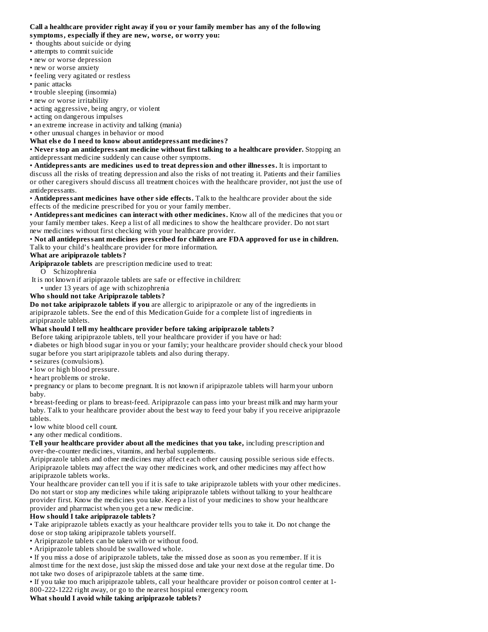## **Call a healthcare provider right away if you or your family member has any of the following symptoms, especially if they are new, wors e, or worry you:**

- thoughts about suicide or dying
- 
- attempts to commit suicide
- new or worse depression • new or worse anxiety
- feeling very agitated or restless
- panic attacks
- trouble sleeping (insomnia)
- new or worse irritability
- acting aggressive, being angry, or violent
- acting on dangerous impulses
- an extreme increase in activity and talking (mania)
- other unusual changes in behavior or mood
- **What els e do I need to know about antidepressant medicines?**

• **Never stop an antidepressant medicine without first talking to a healthcare provider.** Stopping an antidepressant medicine suddenly can cause other symptoms.

• **Antidepressants are medicines us ed to treat depression and other illness es.** It is important to discuss all the risks of treating depression and also the risks of not treating it. Patients and their families or other caregivers should discuss all treatment choices with the healthcare provider, not just the use of antidepressants.

• **Antidepressant medicines have other side effects.** Talk to the healthcare provider about the side effects of the medicine prescribed for you or your family member.

• **Antidepressant medicines can interact with other medicines.** Know all of the medicines that you or your family member takes. Keep a list of all medicines to show the healthcare provider. Do not start new medicines without first checking with your healthcare provider.

• **Not all antidepressant medicines pres cribed for children are FDA approved for us e in children.** Talk to your child's healthcare provider for more information.

**What are aripiprazole tablets?**

**Aripiprazole tablets** are prescription medicine used to treat:

O Schizophrenia

It is not known if aripiprazole tablets are safe or effective in children:

• under 13 years of age with schizophrenia

## **Who should not take Aripiprazole tablets?**

**Do not take aripiprazole tablets if you** are allergic to aripiprazole or any of the ingredients in aripiprazole tablets. See the end of this Medication Guide for a complete list of ingredients in aripiprazole tablets.

## **What should I tell my healthcare provider before taking aripiprazole tablets?**

Before taking aripiprazole tablets, tell your healthcare provider if you have or had:

• diabetes or high blood sugar in you or your family; your healthcare provider should check your blood sugar before you start aripiprazole tablets and also during therapy.

- seizures (convulsions).
- low or high blood pressure.
- heart problems or stroke.

• pregnancy or plans to become pregnant. It is not known if aripiprazole tablets will harm your unborn baby.

• breast-feeding or plans to breast-feed. Aripiprazole can pass into your breast milk and may harm your baby. Talk to your healthcare provider about the best way to feed your baby if you receive aripiprazole tablets.

• low white blood cell count.

• any other medical conditions.

**Tell your healthcare provider about all the medicines that you take,** including prescription and over-the-counter medicines, vitamins, and herbal supplements.

Aripiprazole tablets and other medicines may affect each other causing possible serious side effects. Aripiprazole tablets may affect the way other medicines work, and other medicines may affect how aripiprazole tablets works.

Your healthcare provider can tell you if it is safe to take aripiprazole tablets with your other medicines. Do not start or stop any medicines while taking aripiprazole tablets without talking to your healthcare provider first. Know the medicines you take. Keep a list of your medicines to show your healthcare provider and pharmacist when you get a new medicine.

## **How should I take aripiprazole tablets?**

• Take aripiprazole tablets exactly as your healthcare provider tells you to take it. Do not change the dose or stop taking aripiprazole tablets yourself.

- Aripiprazole tablets can be taken with or without food.
- Aripiprazole tablets should be swallowed whole.

• If you miss a dose of aripiprazole tablets, take the missed dose as soon as you remember. If it is almost time for the next dose, just skip the missed dose and take your next dose at the regular time. Do not take two doses of aripiprazole tablets at the same time.

• If you take too much aripiprazole tablets, call your healthcare provider or poison control center at 1- 800-222-1222 right away, or go to the nearest hospital emergency room.

**What should I avoid while taking aripiprazole tablets?**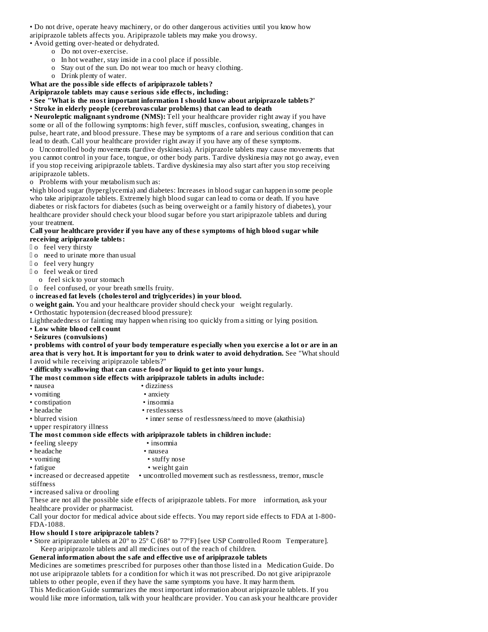#### • Do not drive, operate heavy machinery, or do other dangerous activities until you know how aripiprazole tablets affects you. Aripiprazole tablets may make you drowsy. • Avoid getting over-heated or dehydrated.

- - o Do not over-exercise.
	- o In hot weather, stay inside in a cool place if possible.
	- o Stay out of the sun. Do not wear too much or heavy clothing.
	- o Drink plenty of water.

## **What are the possible side effects of aripiprazole tablets?**

#### **Aripiprazole tablets may caus e s erious side effects, including:**

# • **See "What is the most important information I should know about aripiprazole tablets?'**

• **Stroke in elderly people (cerebrovas cular problems) that can lead to death**

• **Neuroleptic malignant syndrome (NMS):** Tell your healthcare provider right away if you have some or all of the following symptoms: high fever, stiff muscles, confusion, sweating, changes in pulse, heart rate, and blood pressure. These may be symptoms of a rare and serious condition that can lead to death. Call your healthcare provider right away if you have any of these symptoms.

o Uncontrolled body movements (tardive dyskinesia). Aripiprazole tablets may cause movements that you cannot control in your face, tongue, or other body parts. Tardive dyskinesia may not go away, even if you stop receiving aripiprazole tablets. Tardive dyskinesia may also start after you stop receiving aripiprazole tablets.

o Problems with your metabolism such as:

•high blood sugar (hyperglycemia) and diabetes: Increases in blood sugar can happen in some people who take aripiprazole tablets. Extremely high blood sugar can lead to coma or death. If you have diabetes or risk factors for diabetes (such as being overweight or a family history of diabetes), your healthcare provider should check your blood sugar before you start aripiprazole tablets and during your treatment.

## **Call your healthcare provider if you have any of thes e symptoms of high blood sugar while receiving aripiprazole tablets:**

- o feel very thirsty
- o need to urinate more than usual
- o feel very hungry
- o feel weak or tired
- o feel sick to your stomach

o feel confused, or your breath smells fruity.

## o **increas ed fat levels (cholesterol and triglycerides) in your blood.**

o **weight gain.** You and your healthcare provider should check your weight regularly.

• Orthostatic hypotension (decreased blood pressure):

- Lightheadedness or fainting may happen when rising too quickly from a sitting or lying position.
- **Low white blood cell count**
- **Seizures (convulsions)**

## • **problems with control of your body temperature especially when you exercis e a lot or are in an**

**area that is very hot. It is important for you to drink water to avoid dehydration.** See "What should I avoid while receiving aripiprazole tablets?"

## • **difficulty swallowing that can caus e food or liquid to get into your lungs.**

**The most common side effects with aripiprazole tablets in adults include:**

- 
- nausea dizziness • vomiting • anxiety
- 
- constipation insomnia
- headache restlessness
- 
- blurred vision inner sense of restlessness/need to move (akathisia)
- upper respiratory illness

# **The most common side effects with aripiprazole tablets in children include:**

- feeling sleepy
- headache nausea
	-
- vomiting stuffy nose
- fatigue weight gain
- increased or decreased appetite uncontrolled movement such as restlessness, tremor, muscle
- stiffness
- increased saliva or drooling

These are not all the possible side effects of aripiprazole tablets. For more information, ask your healthcare provider or pharmacist.

Call your doctor for medical advice about side effects. You may report side effects to FDA at 1-800- FDA-1088.

## **How should I store aripiprazole tablets?**

• Store aripiprazole tablets at 20º to 25º C (68º to 77ºF) [see USP Controlled Room Temperature]. Keep aripiprazole tablets and all medicines out of the reach of children.

## **General information about the safe and effective us e of aripiprazole tablets**

Medicines are sometimes prescribed for purposes other than those listed in a Medication Guide. Do not use aripiprazole tablets for a condition for which it was not prescribed. Do not give aripiprazole tablets to other people, even if they have the same symptoms you have. It may harm them. This Medication Guide summarizes the most important information about aripiprazole tablets. If you would like more information, talk with your healthcare provider. You can ask your healthcare provider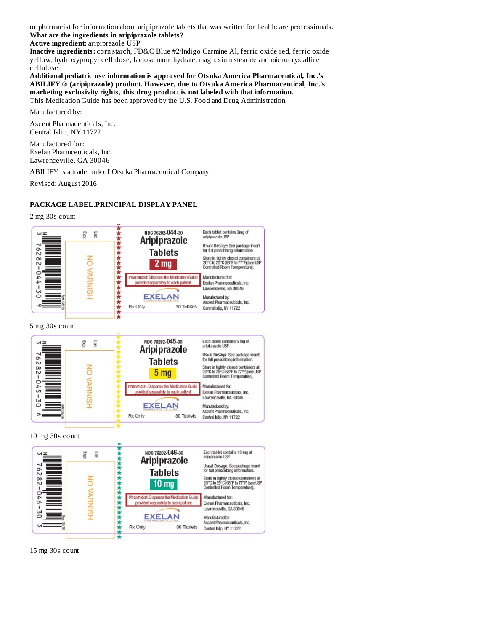or pharmacist for information about aripiprazole tablets that was written for healthcare professionals.

**What are the ingredients in aripiprazole tablets?**

**Active ingredient:** aripiprazole USP

**Inactive ingredients:** corn starch, FD&C Blue #2/Indigo Carmine Al, ferric oxide red, ferric oxide yellow, hydroxypropyl cellulose, lactose monohydrate, magnesium stearate and microcrystalline cellulose

**Additional pediatric us e information is approved for Otsuka America Pharmaceutical, Inc.'s ABILIFY ® (aripiprazole) product. However, due to Otsuka America Pharmaceutical, Inc.'s marketing exclusivity rights, this drug product is not labeled with that information.** This Medication Guide has been approved by the U.S. Food and Drug Administration.

Manufactured by:

Ascent Pharmaceuticals, Inc. Central Islip, NY 11722

Manufactured for: Exelan Pharmceuticals, Inc. Lawrenceville, GA 30046

ABILIFY is a trademark of Otsuka Pharmaceutical Company.

Revised: August 2016

## **PACKAGE LABEL.PRINCIPAL DISPLAY PANEL**





Store in tightly closed containers at<br>20°C to 25°C (68°F to 77°F) [see USP<br>Controlled Room Temperature].  $10<sub>mg</sub>$ Pharmicist: Dispense the Medication Guide Manufactured for: provided separately to each patient Exelan Pharmaceuticals, Inc. Lawrenceville, GA 30046 **EXELAN** Manufactured by:<br>Ascent Pharmaceuticals, Inc. Rx Only 30 Tablets Central Islip, NY 11722

15 mg 30s count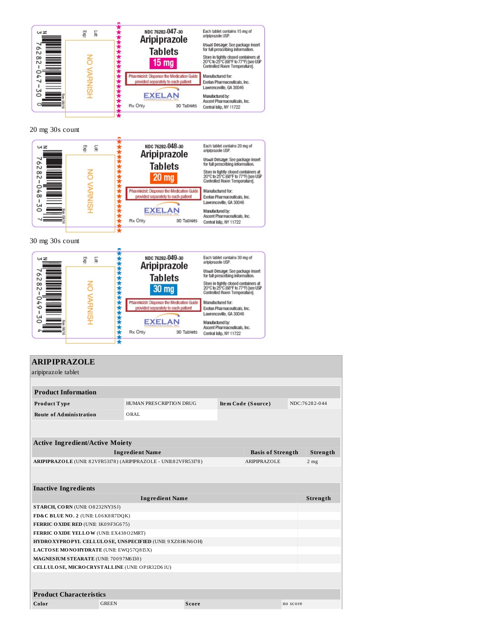

## 20 mg 30s count



## 30 mg 30s count



## **ARIPIPRAZOLE**

| aripiprazole tablet                                              |                                     |                         |  |  |                          |  |                 |  |
|------------------------------------------------------------------|-------------------------------------|-------------------------|--|--|--------------------------|--|-----------------|--|
|                                                                  |                                     |                         |  |  |                          |  |                 |  |
| <b>Product Information</b>                                       |                                     |                         |  |  |                          |  |                 |  |
| Product Type                                                     |                                     | HUMAN PRESCRIPTION DRUG |  |  | Item Code (Source)       |  | NDC:76282-044   |  |
| <b>Route of Administration</b>                                   |                                     | ORAL                    |  |  |                          |  |                 |  |
|                                                                  |                                     |                         |  |  |                          |  |                 |  |
|                                                                  |                                     |                         |  |  |                          |  |                 |  |
| <b>Active Ingredient/Active Moiety</b>                           |                                     |                         |  |  |                          |  |                 |  |
|                                                                  |                                     | <b>Ingredient Name</b>  |  |  | <b>Basis of Strength</b> |  | Strength        |  |
| ARIPIPRAZOLE (UNII: 82VFR53I78) (ARIPIPRAZOLE - UNII:82VFR53I78) |                                     |                         |  |  | <b>ARIPIPRAZOLE</b>      |  | 2 <sub>mg</sub> |  |
|                                                                  |                                     |                         |  |  |                          |  |                 |  |
| <b>Inactive Ingredients</b>                                      |                                     |                         |  |  |                          |  |                 |  |
|                                                                  |                                     | <b>Ingredient Name</b>  |  |  |                          |  | Strength        |  |
| STARCH, CORN (UNII: O8232NY3SJ)                                  |                                     |                         |  |  |                          |  |                 |  |
| FD&C BLUE NO. 2 (UNII: L06K8R7DQK)                               |                                     |                         |  |  |                          |  |                 |  |
|                                                                  | FERRIC OXIDE RED (UNII: 1K09F3G675) |                         |  |  |                          |  |                 |  |
| FERRIC OXIDE YELLOW (UNII: EX438O2MRT)                           |                                     |                         |  |  |                          |  |                 |  |
| HYDRO XYPROPYL CELLULOSE, UNSPECIFIED (UNII: 9 XZ8 H6 N6 OH)     |                                     |                         |  |  |                          |  |                 |  |
| LACTOSE MONOHYDRATE (UNII: EWQ57Q8I5X)                           |                                     |                         |  |  |                          |  |                 |  |
| MAGNESIUM STEARATE (UNII: 70097M6I30)                            |                                     |                         |  |  |                          |  |                 |  |
| CELLULOSE, MICRO CRYSTALLINE (UNII: OP1R32D61U)                  |                                     |                         |  |  |                          |  |                 |  |
|                                                                  |                                     |                         |  |  |                          |  |                 |  |
| <b>Product Characteristics</b>                                   |                                     |                         |  |  |                          |  |                 |  |
| <b>GREEN</b><br>Color<br>Score<br>no score                       |                                     |                         |  |  |                          |  |                 |  |
|                                                                  |                                     |                         |  |  |                          |  |                 |  |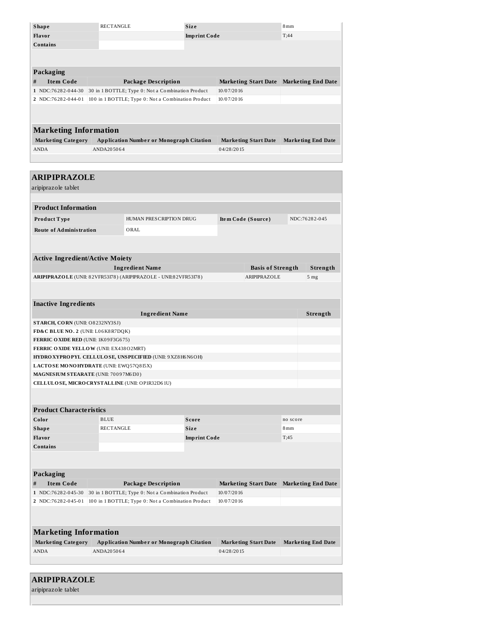|   | <b>Shape</b>                         | RECTANGLE                                          | <b>Size</b> |                             | 8 <sub>mm</sub>           |  |  |  |  |
|---|--------------------------------------|----------------------------------------------------|-------------|-----------------------------|---------------------------|--|--|--|--|
|   | <b>Flavor</b><br><b>Imprint Code</b> |                                                    |             |                             | T:44                      |  |  |  |  |
|   | <b>Contains</b>                      |                                                    |             |                             |                           |  |  |  |  |
|   |                                      |                                                    |             |                             |                           |  |  |  |  |
|   |                                      |                                                    |             |                             |                           |  |  |  |  |
|   | Packaging                            |                                                    |             |                             |                           |  |  |  |  |
| # | <b>Item Code</b>                     | <b>Package Description</b>                         |             | <b>Marketing Start Date</b> | <b>Marketing End Date</b> |  |  |  |  |
|   | 1 NDC:76282-044-30                   | 30 in 1 BOTTLE; Type 0: Not a Combination Product  |             | 10/07/2016                  |                           |  |  |  |  |
|   | 2 NDC:76282-044-01                   | 100 in 1 BOTTLE; Type 0: Not a Combination Product |             | 10/07/2016                  |                           |  |  |  |  |
|   |                                      |                                                    |             |                             |                           |  |  |  |  |
|   |                                      |                                                    |             |                             |                           |  |  |  |  |
|   | <b>Marketing Information</b>         |                                                    |             |                             |                           |  |  |  |  |
|   | <b>Marketing Category</b>            | <b>Application Number or Monograph Citation</b>    |             | <b>Marketing Start Date</b> | <b>Marketing End Date</b> |  |  |  |  |
|   | <b>ANDA</b>                          | ANDA205064                                         |             | 04/28/2015                  |                           |  |  |  |  |
|   |                                      |                                                    |             |                             |                           |  |  |  |  |

| ARIPIPRAZOLE<br>aripiprazole tablet                                                                             |                                                                 |                                                                  |                     |            |                             |                 |                           |  |  |
|-----------------------------------------------------------------------------------------------------------------|-----------------------------------------------------------------|------------------------------------------------------------------|---------------------|------------|-----------------------------|-----------------|---------------------------|--|--|
|                                                                                                                 |                                                                 |                                                                  |                     |            |                             |                 |                           |  |  |
| <b>Product Information</b>                                                                                      |                                                                 |                                                                  |                     |            |                             |                 |                           |  |  |
| Product Type                                                                                                    |                                                                 | HUMAN PRESCRIPTION DRUG                                          |                     |            | Item Code (Source)          |                 | NDC:76282-045             |  |  |
| <b>Route of Administration</b>                                                                                  |                                                                 | ORAL                                                             |                     |            |                             |                 |                           |  |  |
|                                                                                                                 |                                                                 |                                                                  |                     |            |                             |                 |                           |  |  |
| <b>Active Ingredient/Active Moiety</b>                                                                          |                                                                 |                                                                  |                     |            |                             |                 |                           |  |  |
|                                                                                                                 |                                                                 | <b>Ingredient Name</b>                                           |                     |            | <b>Basis of Strength</b>    |                 | <b>Strength</b>           |  |  |
|                                                                                                                 |                                                                 | ARIPIPRAZOLE (UNII: 82VFR53I78) (ARIPIPRAZOLE - UNII:82VFR53I78) |                     |            | ARIPIPRAZOLE                |                 | 5 <sub>mg</sub>           |  |  |
|                                                                                                                 |                                                                 |                                                                  |                     |            |                             |                 |                           |  |  |
| <b>Inactive Ingredients</b>                                                                                     |                                                                 |                                                                  |                     |            |                             |                 |                           |  |  |
|                                                                                                                 |                                                                 | <b>Ingredient Name</b>                                           |                     |            |                             |                 | <b>Strength</b>           |  |  |
| STARCH, CORN (UNII: O8232NY3SJ)                                                                                 |                                                                 |                                                                  |                     |            |                             |                 |                           |  |  |
| FD&C BLUE NO. 2 (UNII: L06K8R7DQK)                                                                              |                                                                 |                                                                  |                     |            |                             |                 |                           |  |  |
| FERRIC OXIDE RED (UNII: 1K09F3G675)                                                                             |                                                                 |                                                                  |                     |            |                             |                 |                           |  |  |
| FERRIC OXIDE YELLOW (UNII: EX438O2MRT)                                                                          |                                                                 | HYDRO XYPROPYL CELLULOSE, UNSPECIFIED (UNII: 9 XZ8 H6 N6 OH)     |                     |            |                             |                 |                           |  |  |
| LACTOSE MONOHYDRATE (UNII: EWQ57Q8I5X)                                                                          |                                                                 |                                                                  |                     |            |                             |                 |                           |  |  |
| MAGNESIUM STEARATE (UNII: 70097M6I30)                                                                           |                                                                 |                                                                  |                     |            |                             |                 |                           |  |  |
| CELLULOSE, MICRO CRYSTALLINE (UNII: OP1R32D61U)                                                                 |                                                                 |                                                                  |                     |            |                             |                 |                           |  |  |
|                                                                                                                 |                                                                 |                                                                  |                     |            |                             |                 |                           |  |  |
|                                                                                                                 |                                                                 |                                                                  |                     |            |                             |                 |                           |  |  |
| <b>Product Characteristics</b>                                                                                  |                                                                 |                                                                  |                     |            |                             |                 |                           |  |  |
| Color                                                                                                           | <b>BLUE</b>                                                     |                                                                  | <b>Score</b>        |            |                             | no score        |                           |  |  |
| <b>Shape</b>                                                                                                    | <b>RECTANGLE</b>                                                |                                                                  | Size                |            |                             | 8 <sub>mm</sub> |                           |  |  |
| Flavor                                                                                                          |                                                                 |                                                                  | <b>Imprint Code</b> |            |                             | T:45            |                           |  |  |
| Contains                                                                                                        |                                                                 |                                                                  |                     |            |                             |                 |                           |  |  |
|                                                                                                                 |                                                                 |                                                                  |                     |            |                             |                 |                           |  |  |
| Packaging                                                                                                       |                                                                 |                                                                  |                     |            |                             |                 |                           |  |  |
| <b>Item Code</b><br><b>Marketing Start Date</b><br><b>Marketing End Date</b><br><b>Package Description</b><br># |                                                                 |                                                                  |                     |            |                             |                 |                           |  |  |
| 1 NDC:76282-045-30                                                                                              | 30 in 1 BOTTLE; Type 0: Not a Combination Product<br>10/07/2016 |                                                                  |                     |            |                             |                 |                           |  |  |
| 10/07/2016<br>2 NDC:76282-045-01<br>100 in 1 BOTTLE; Type 0: Not a Combination Product                          |                                                                 |                                                                  |                     |            |                             |                 |                           |  |  |
|                                                                                                                 |                                                                 |                                                                  |                     |            |                             |                 |                           |  |  |
|                                                                                                                 |                                                                 |                                                                  |                     |            |                             |                 |                           |  |  |
| <b>Marketing Information</b>                                                                                    |                                                                 |                                                                  |                     |            |                             |                 |                           |  |  |
| <b>Marketing Category</b>                                                                                       |                                                                 | <b>Application Number or Monograph Citation</b>                  |                     |            | <b>Marketing Start Date</b> |                 | <b>Marketing End Date</b> |  |  |
| <b>ANDA</b>                                                                                                     | ANDA205064                                                      |                                                                  |                     | 04/28/2015 |                             |                 |                           |  |  |
|                                                                                                                 |                                                                 |                                                                  |                     |            |                             |                 |                           |  |  |

# **ARIPIPRAZOLE** aripiprazole tablet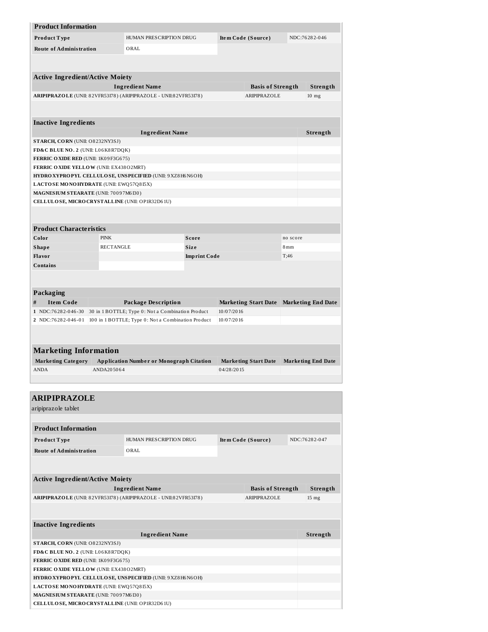| <b>Product Information</b>                                                                             |                                                                                                      |                                                    |                     |            |                                          |                 |                             |  |  |
|--------------------------------------------------------------------------------------------------------|------------------------------------------------------------------------------------------------------|----------------------------------------------------|---------------------|------------|------------------------------------------|-----------------|-----------------------------|--|--|
| Product Type<br>HUMAN PRESCRIPTION DRUG                                                                |                                                                                                      |                                                    |                     |            | Item Code (Source)                       |                 | NDC:76282-046               |  |  |
| <b>Route of Administration</b><br>ORAL                                                                 |                                                                                                      |                                                    |                     |            |                                          |                 |                             |  |  |
|                                                                                                        |                                                                                                      |                                                    |                     |            |                                          |                 |                             |  |  |
| <b>Active Ingredient/Active Moiety</b>                                                                 |                                                                                                      |                                                    |                     |            |                                          |                 |                             |  |  |
|                                                                                                        |                                                                                                      | <b>Ingredient Name</b>                             |                     |            | <b>Basis of Strength</b>                 |                 | Strength                    |  |  |
| ARIPIPRAZOLE (UNII: 82VFR53I78) (ARIPIPRAZOLE - UNII:82VFR53I78)                                       |                                                                                                      |                                                    |                     |            | ARIPIPRAZOLE                             |                 | $10$ mg                     |  |  |
|                                                                                                        |                                                                                                      |                                                    |                     |            |                                          |                 |                             |  |  |
|                                                                                                        |                                                                                                      |                                                    |                     |            |                                          |                 |                             |  |  |
| <b>Inactive Ingredients</b>                                                                            |                                                                                                      |                                                    |                     |            |                                          |                 |                             |  |  |
|                                                                                                        |                                                                                                      | <b>Ingredient Name</b>                             |                     |            |                                          |                 | Strength                    |  |  |
| STARCH, CORN (UNII: O8232NY3SJ)                                                                        |                                                                                                      |                                                    |                     |            |                                          |                 |                             |  |  |
| FD&C BLUE NO. 2 (UNII: L06K8R7DQK)                                                                     |                                                                                                      |                                                    |                     |            |                                          |                 |                             |  |  |
| <b>FERRIC OXIDE RED (UNII: 1K09F3G675)</b><br>FERRIC OXIDE YELLOW (UNII: EX438O2MRT)                   |                                                                                                      |                                                    |                     |            |                                          |                 |                             |  |  |
| HYDRO XYPROPYL CELLULOSE, UNSPECIFIED (UNII: 9 XZ8 H6 N6 OH)                                           |                                                                                                      |                                                    |                     |            |                                          |                 |                             |  |  |
| LACTOSE MONOHYDRATE (UNII: EWQ57Q8I5X)                                                                 |                                                                                                      |                                                    |                     |            |                                          |                 |                             |  |  |
| MAGNESIUM STEARATE (UNII: 70097M6I30)                                                                  |                                                                                                      |                                                    |                     |            |                                          |                 |                             |  |  |
| CELLULOSE, MICRO CRYSTALLINE (UNII: OP1R32D61U)                                                        |                                                                                                      |                                                    |                     |            |                                          |                 |                             |  |  |
|                                                                                                        |                                                                                                      |                                                    |                     |            |                                          |                 |                             |  |  |
| <b>Product Characteristics</b>                                                                         |                                                                                                      |                                                    |                     |            |                                          |                 |                             |  |  |
| Color                                                                                                  | <b>PINK</b>                                                                                          |                                                    | Score               |            |                                          | no score        |                             |  |  |
| Shape                                                                                                  | <b>RECTANGLE</b>                                                                                     |                                                    | Size                |            |                                          | 8 <sub>mm</sub> |                             |  |  |
| Flavor                                                                                                 |                                                                                                      |                                                    | <b>Imprint Code</b> |            |                                          | T;46            |                             |  |  |
| <b>Contains</b>                                                                                        |                                                                                                      |                                                    |                     |            |                                          |                 |                             |  |  |
|                                                                                                        |                                                                                                      |                                                    |                     |            |                                          |                 |                             |  |  |
|                                                                                                        |                                                                                                      |                                                    |                     |            |                                          |                 |                             |  |  |
| Packaging                                                                                              |                                                                                                      |                                                    |                     |            |                                          |                 |                             |  |  |
| Item Code<br>#                                                                                         |                                                                                                      | Package Description                                |                     |            | <b>Marketing Start Date</b>              |                 | <b>Marketing End Date</b>   |  |  |
| 1 NDC:76282-046-30                                                                                     |                                                                                                      | 30 in 1 BOTTLE; Type 0: Not a Combination Product  |                     | 10/07/2016 |                                          |                 |                             |  |  |
| 2 NDC:76282-046-01                                                                                     |                                                                                                      | 100 in 1 BOTTLE; Type 0: Not a Combination Product |                     | 10/07/2016 |                                          |                 |                             |  |  |
|                                                                                                        |                                                                                                      |                                                    |                     |            |                                          |                 |                             |  |  |
|                                                                                                        |                                                                                                      |                                                    |                     |            |                                          |                 |                             |  |  |
| <b>Marketing Information</b>                                                                           |                                                                                                      |                                                    |                     |            |                                          |                 |                             |  |  |
|                                                                                                        | <b>Marketing Category</b><br>Application Number or Monograph Citation<br><b>Marketing Start Date</b> |                                                    |                     |            |                                          |                 |                             |  |  |
|                                                                                                        |                                                                                                      |                                                    |                     |            |                                          |                 | <b>Marketing End Date</b>   |  |  |
| <b>ANDA</b>                                                                                            | ANDA205064                                                                                           |                                                    |                     | 04/28/2015 |                                          |                 |                             |  |  |
|                                                                                                        |                                                                                                      |                                                    |                     |            |                                          |                 |                             |  |  |
|                                                                                                        |                                                                                                      |                                                    |                     |            |                                          |                 |                             |  |  |
| <b>ARIPIPRAZOLE</b>                                                                                    |                                                                                                      |                                                    |                     |            |                                          |                 |                             |  |  |
| aripiprazole tablet                                                                                    |                                                                                                      |                                                    |                     |            |                                          |                 |                             |  |  |
|                                                                                                        |                                                                                                      |                                                    |                     |            |                                          |                 |                             |  |  |
| <b>Product Information</b>                                                                             |                                                                                                      |                                                    |                     |            |                                          |                 |                             |  |  |
| Product Type                                                                                           |                                                                                                      | HUMAN PRESCRIPTION DRUG                            |                     |            | Item Code (Source)                       |                 | NDC:76282-047               |  |  |
| <b>Route of Administration</b>                                                                         |                                                                                                      | ORAL                                               |                     |            |                                          |                 |                             |  |  |
|                                                                                                        |                                                                                                      |                                                    |                     |            |                                          |                 |                             |  |  |
|                                                                                                        |                                                                                                      |                                                    |                     |            |                                          |                 |                             |  |  |
| <b>Active Ingredient/Active Moiety</b>                                                                 |                                                                                                      |                                                    |                     |            |                                          |                 |                             |  |  |
| ARIPIPRAZOLE (UNII: 82VFR53I78) (ARIPIPRAZOLE - UNII:82VFR53I78)                                       |                                                                                                      | <b>Ingredient Name</b>                             |                     |            | <b>Basis of Strength</b><br>ARIPIPRAZOLE |                 | Strength<br>$15 \text{ mg}$ |  |  |
|                                                                                                        |                                                                                                      |                                                    |                     |            |                                          |                 |                             |  |  |
|                                                                                                        |                                                                                                      |                                                    |                     |            |                                          |                 |                             |  |  |
| <b>Inactive Ingredients</b>                                                                            |                                                                                                      |                                                    |                     |            |                                          |                 |                             |  |  |
|                                                                                                        |                                                                                                      | <b>Ingredient Name</b>                             |                     |            |                                          |                 | Strength                    |  |  |
| STARCH, CORN (UNII: O8232NY3SJ)                                                                        |                                                                                                      |                                                    |                     |            |                                          |                 |                             |  |  |
| FD&C BLUE NO. 2 (UNII: L06K8R7DQK)                                                                     |                                                                                                      |                                                    |                     |            |                                          |                 |                             |  |  |
| FERRIC OXIDE RED (UNII: 1K09F3G675)                                                                    |                                                                                                      |                                                    |                     |            |                                          |                 |                             |  |  |
| FERRIC OXIDE YELLOW (UNII: EX438O2MRT)<br>HYDRO XYPROPYL CELLULOSE, UNSPECIFIED (UNII: 9 XZ8 H6 N6 OH) |                                                                                                      |                                                    |                     |            |                                          |                 |                             |  |  |
| LACTOSE MONOHYDRATE (UNII: EWQ57Q815X)                                                                 |                                                                                                      |                                                    |                     |            |                                          |                 |                             |  |  |
| MAGNESIUM STEARATE (UNII: 70097M6I30)                                                                  |                                                                                                      |                                                    |                     |            |                                          |                 |                             |  |  |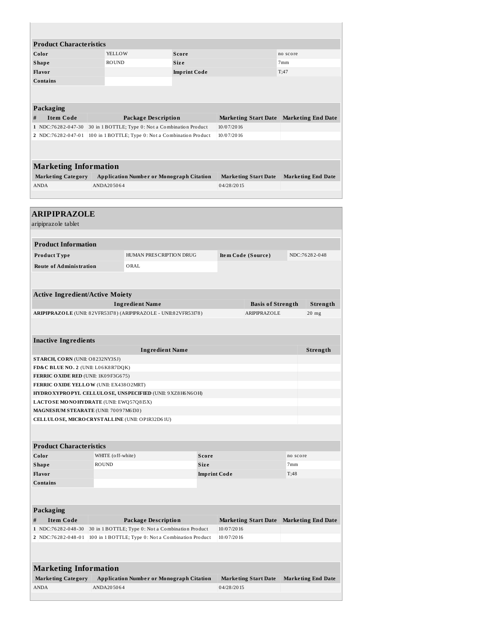| <b>Product Characteristics</b>                                                           |                            |                                                    |              |                             |                             |          |                           |  |
|------------------------------------------------------------------------------------------|----------------------------|----------------------------------------------------|--------------|-----------------------------|-----------------------------|----------|---------------------------|--|
| Color                                                                                    | YELLOW                     |                                                    | <b>Score</b> |                             |                             | no score |                           |  |
| Shape                                                                                    | <b>ROUND</b>               |                                                    | Size         | 7mm                         |                             |          |                           |  |
| Flavor                                                                                   | <b>Imprint Code</b>        |                                                    |              |                             |                             | T:47     |                           |  |
| Contains                                                                                 |                            |                                                    |              |                             |                             |          |                           |  |
|                                                                                          |                            |                                                    |              |                             |                             |          |                           |  |
| <b>Packaging</b>                                                                         |                            |                                                    |              |                             |                             |          |                           |  |
| #<br><b>Item Code</b>                                                                    |                            | Package Description                                |              |                             | <b>Marketing Start Date</b> |          | <b>Marketing End Date</b> |  |
| 1 NDC:76282-047-30                                                                       |                            | 30 in 1 BOTTLE; Type 0: Not a Combination Product  |              | 10/07/2016                  |                             |          |                           |  |
| 2 NDC:76282-047-01                                                                       |                            | 100 in 1 BOTTLE; Type 0: Not a Combination Product |              | 10/07/2016                  |                             |          |                           |  |
|                                                                                          |                            |                                                    |              |                             |                             |          |                           |  |
|                                                                                          |                            |                                                    |              |                             |                             |          |                           |  |
| <b>Marketing Information</b>                                                             |                            |                                                    |              |                             |                             |          |                           |  |
| <b>Marketing Category</b>                                                                |                            | Application Number or Monograph Citation           |              |                             | <b>Marketing Start Date</b> |          | <b>Marketing End Date</b> |  |
| <b>ANDA</b>                                                                              | ANDA205064                 |                                                    |              | 04/28/2015                  |                             |          |                           |  |
|                                                                                          |                            |                                                    |              |                             |                             |          |                           |  |
| <b>ARIPIPRAZOLE</b>                                                                      |                            |                                                    |              |                             |                             |          |                           |  |
| aripiprazole tablet                                                                      |                            |                                                    |              |                             |                             |          |                           |  |
|                                                                                          |                            |                                                    |              |                             |                             |          |                           |  |
| <b>Product Information</b>                                                               |                            |                                                    |              |                             |                             |          |                           |  |
| Product Type                                                                             |                            | HUMAN PRESCRIPTION DRUG                            |              |                             | Item Code (Source)          |          | NDC:76282-048             |  |
| Route of Administration                                                                  |                            | ORAL                                               |              |                             |                             |          |                           |  |
|                                                                                          |                            |                                                    |              |                             |                             |          |                           |  |
|                                                                                          |                            |                                                    |              |                             |                             |          |                           |  |
| <b>Active Ingredient/Active Moiety</b>                                                   |                            |                                                    |              |                             |                             |          |                           |  |
|                                                                                          |                            | <b>Ingredient Name</b>                             |              |                             | <b>Basis of Strength</b>    |          | Strength                  |  |
| ARIPIPRAZOLE (UNII: 82VFR53I78) (ARIPIPRAZOLE - UNII:82VFR53I78)                         |                            |                                                    |              |                             | ARIPIPRAZOLE                |          | $20$ mg                   |  |
|                                                                                          |                            |                                                    |              |                             |                             |          |                           |  |
|                                                                                          |                            |                                                    |              |                             |                             |          |                           |  |
| <b>Inactive Ingredients</b>                                                              |                            | <b>Ingredient Name</b>                             |              |                             |                             |          | Strength                  |  |
| STARCH, CORN (UNII: O8232NY3SJ)                                                          |                            |                                                    |              |                             |                             |          |                           |  |
| FD&C BLUE NO. 2 (UNII: L06K8R7DQK)                                                       |                            |                                                    |              |                             |                             |          |                           |  |
| FERRIC OXIDE RED (UNII: 1K09F3G675)                                                      |                            |                                                    |              |                             |                             |          |                           |  |
| FERRIC OXIDE YELLOW (UNII: EX438O2MRT)                                                   |                            |                                                    |              |                             |                             |          |                           |  |
| HYDRO XYPROPYL CELLULOSE, UNSPECIFIED (UNII: 9 XZ8 H6 N6 OH)                             |                            |                                                    |              |                             |                             |          |                           |  |
| LACTOSE MONOHYDRATE (UNII: EWQ57Q8I5X)                                                   |                            |                                                    |              |                             |                             |          |                           |  |
| MAGNESIUM STEARATE (UNII: 70097M6I30)<br>CELLULOSE, MICRO CRYSTALLINE (UNII: OP1R32D61U) |                            |                                                    |              |                             |                             |          |                           |  |
|                                                                                          |                            |                                                    |              |                             |                             |          |                           |  |
|                                                                                          |                            |                                                    |              |                             |                             |          |                           |  |
| <b>Product Characteristics</b>                                                           |                            |                                                    |              |                             |                             |          |                           |  |
| Color                                                                                    | WHITE (off-white)<br>Score |                                                    |              |                             |                             |          | no score                  |  |
| <b>Shape</b>                                                                             | <b>ROUND</b><br>Size       |                                                    |              | 7mm                         |                             |          |                           |  |
| Flavor                                                                                   |                            |                                                    |              | <b>Imprint Code</b><br>T;48 |                             |          |                           |  |
| <b>Contains</b>                                                                          |                            |                                                    |              |                             |                             |          |                           |  |
|                                                                                          |                            |                                                    |              |                             |                             |          |                           |  |
| <b>Packaging</b>                                                                         |                            |                                                    |              |                             |                             |          |                           |  |
| #<br><b>Item Code</b>                                                                    |                            | Package Description                                |              |                             | <b>Marketing Start Date</b> |          | <b>Marketing End Date</b> |  |
| 1 NDC:76282-048-30                                                                       |                            | 30 in 1 BOTTLE; Type 0: Not a Combination Product  |              | 10/07/2016                  |                             |          |                           |  |
| 2 NDC:76282-048-01                                                                       |                            | 100 in 1 BOTTLE; Type 0: Not a Combination Product |              | 10/07/2016                  |                             |          |                           |  |
|                                                                                          |                            |                                                    |              |                             |                             |          |                           |  |
|                                                                                          |                            |                                                    |              |                             |                             |          |                           |  |
| <b>Marketing Information</b>                                                             |                            |                                                    |              |                             |                             |          |                           |  |
| <b>Marketing Category</b>                                                                |                            | Application Number or Monograph Citation           |              |                             | <b>Marketing Start Date</b> |          | <b>Marketing End Date</b> |  |
| <b>ANDA</b>                                                                              | ANDA205064                 |                                                    |              | 04/28/2015                  |                             |          |                           |  |
|                                                                                          |                            |                                                    |              |                             |                             |          |                           |  |